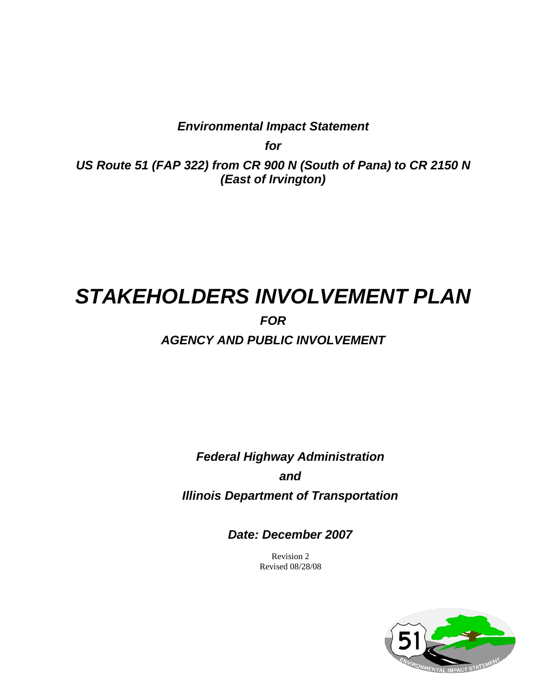*Environmental Impact Statement*

*for*

*US Route 51 (FAP 322) from CR 900 N (South of Pana) to CR 2150 N (East of Irvington)*

# *STAKEHOLDERS INVOLVEMENT PLAN FOR AGENCY AND PUBLIC INVOLVEMENT*

*Federal Highway Administration and Illinois Department of Transportation*

*Date: December 2007*

Revision 2 Revised 08/28/08

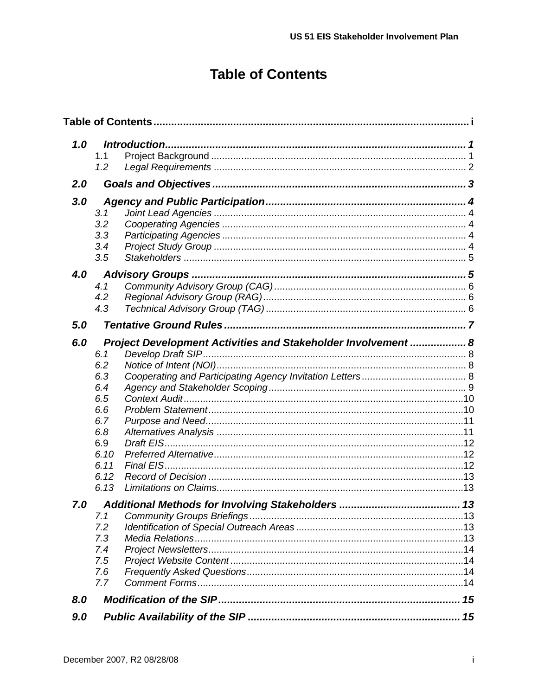## **Table of Contents**

<span id="page-1-0"></span>

| 1.0 | 1.1<br>1.2                                                                                                                                                   |  |
|-----|--------------------------------------------------------------------------------------------------------------------------------------------------------------|--|
| 2.0 |                                                                                                                                                              |  |
| 3.0 | 3.1<br>3.2<br>3.3<br>3.4<br>3.5                                                                                                                              |  |
| 4.0 | 4.1<br>4.2<br>4.3                                                                                                                                            |  |
| 5.0 |                                                                                                                                                              |  |
| 6.0 | Project Development Activities and Stakeholder Involvement  8<br>6.1<br>6.2<br>6.3<br>6.4<br>6.5<br>6.6<br>6.7<br>6.8<br>6.9<br>6.10<br>6.11<br>6.12<br>6.13 |  |
| 7.0 | 7.1<br>7.2<br>7.3<br>7.4<br>7.5<br>7.6<br>7.7                                                                                                                |  |
| 8.0 |                                                                                                                                                              |  |
| 9.0 |                                                                                                                                                              |  |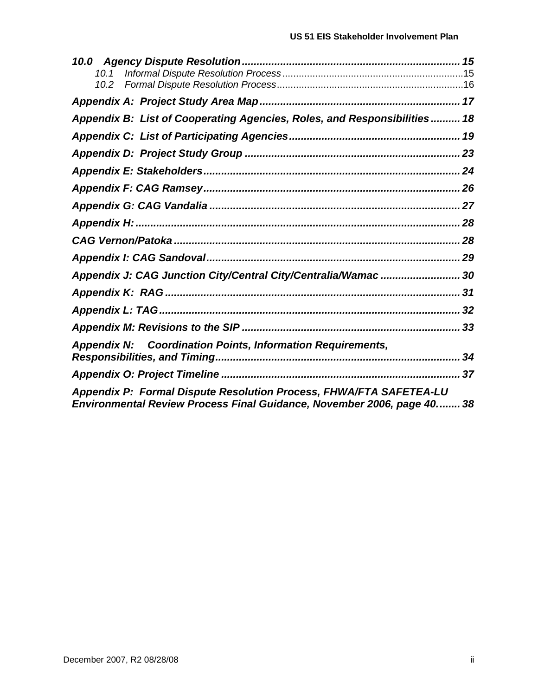| Appendix B: List of Cooperating Agencies, Roles, and Responsibilities 18 |    |
|--------------------------------------------------------------------------|----|
|                                                                          |    |
|                                                                          |    |
|                                                                          |    |
|                                                                          |    |
|                                                                          |    |
|                                                                          |    |
|                                                                          |    |
|                                                                          |    |
| Appendix J: CAG Junction City/Central City/Centralia/Wamac  30           |    |
|                                                                          |    |
|                                                                          |    |
|                                                                          |    |
| <b>Appendix N: Coordination Points, Information Requirements,</b>        |    |
|                                                                          | 34 |
|                                                                          |    |
| Appendix P: Formal Dispute Resolution Process, FHWA/FTA SAFETEA-LU       |    |
| Environmental Review Process Final Guidance, November 2006, page 40 38   |    |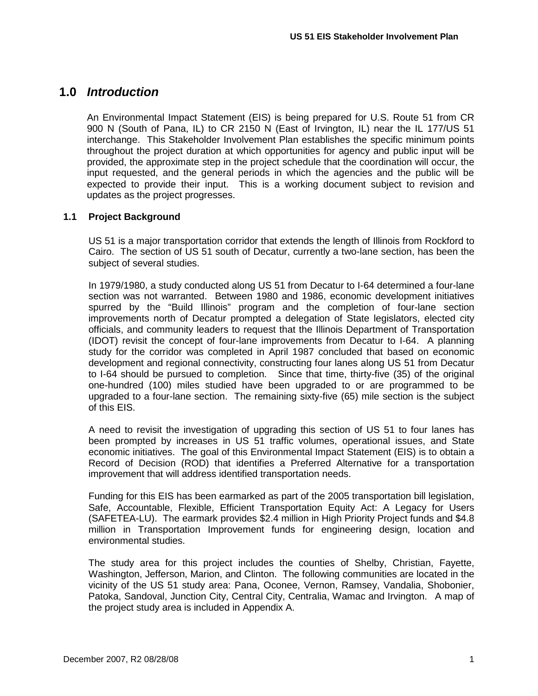### <span id="page-3-0"></span>**1.0** *Introduction*

An Environmental Impact Statement (EIS) is being prepared for U.S. Route 51 from CR 900 N (South of Pana, IL) to CR 2150 N (East of Irvington, IL) near the IL 177/US 51 interchange. This Stakeholder Involvement Plan establishes the specific minimum points throughout the project duration at which opportunities for agency and public input will be provided, the approximate step in the project schedule that the coordination will occur, the input requested, and the general periods in which the agencies and the public will be expected to provide their input. This is a working document subject to revision and updates as the project progresses.

### <span id="page-3-1"></span>**1.1 Project Background**

US 51 is a major transportation corridor that extends the length of Illinois from Rockford to Cairo. The section of US 51 south of Decatur, currently a two-lane section, has been the subject of several studies.

In 1979/1980, a study conducted along US 51 from Decatur to I-64 determined a four-lane section was not warranted. Between 1980 and 1986, economic development initiatives spurred by the "Build Illinois" program and the completion of four-lane section improvements north of Decatur prompted a delegation of State legislators, elected city officials, and community leaders to request that the Illinois Department of Transportation (IDOT) revisit the concept of four-lane improvements from Decatur to I-64. A planning study for the corridor was completed in April 1987 concluded that based on economic development and regional connectivity, constructing four lanes along US 51 from Decatur to I-64 should be pursued to completion. Since that time, thirty-five (35) of the original one-hundred (100) miles studied have been upgraded to or are programmed to be upgraded to a four-lane section. The remaining sixty-five (65) mile section is the subject of this EIS.

A need to revisit the investigation of upgrading this section of US 51 to four lanes has been prompted by increases in US 51 traffic volumes, operational issues, and State economic initiatives. The goal of this Environmental Impact Statement (EIS) is to obtain a Record of Decision (ROD) that identifies a Preferred Alternative for a transportation improvement that will address identified transportation needs.

Funding for this EIS has been earmarked as part of the 2005 transportation bill legislation, Safe, Accountable, Flexible, Efficient Transportation Equity Act: A Legacy for Users (SAFETEA-LU). The earmark provides \$2.4 million in High Priority Project funds and \$4.8 million in Transportation Improvement funds for engineering design, location and environmental studies.

The study area for this project includes the counties of Shelby, Christian, Fayette, Washington, Jefferson, Marion, and Clinton. The following communities are located in the vicinity of the US 51 study area: Pana, Oconee, Vernon, Ramsey, Vandalia, Shobonier, Patoka, Sandoval, Junction City, Central City, Centralia, Wamac and Irvington. A map of the project study area is included in Appendix A.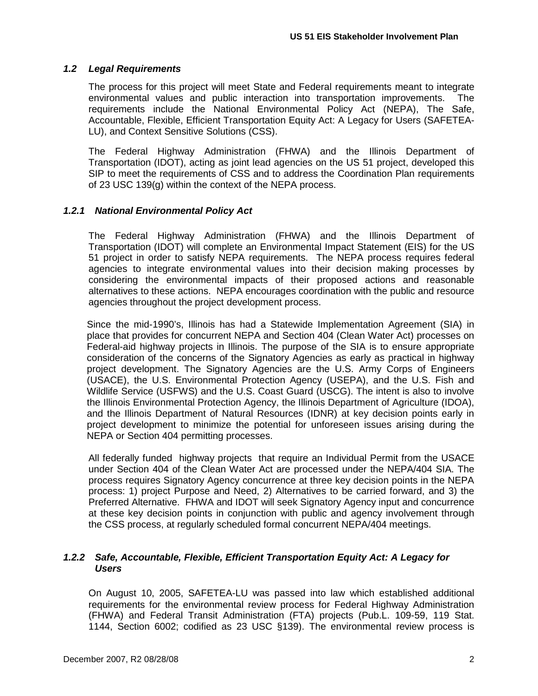### <span id="page-4-0"></span>*1.2 Legal Requirements*

The process for this project will meet State and Federal requirements meant to integrate environmental values and public interaction into transportation improvements. The requirements include the National Environmental Policy Act (NEPA), The Safe, Accountable, Flexible, Efficient Transportation Equity Act: A Legacy for Users (SAFETEA-LU), and Context Sensitive Solutions (CSS).

The Federal Highway Administration (FHWA) and the Illinois Department of Transportation (IDOT), acting as joint lead agencies on the US 51 project, developed this SIP to meet the requirements of CSS and to address the Coordination Plan requirements of 23 USC 139(g) within the context of the NEPA process.

### *1.2.1 National Environmental Policy Act*

The Federal Highway Administration (FHWA) and the Illinois Department of Transportation (IDOT) will complete an Environmental Impact Statement (EIS) for the US 51 project in order to satisfy NEPA requirements. The NEPA process requires federal agencies to integrate environmental values into their decision making processes by considering the environmental impacts of their proposed actions and reasonable alternatives to these actions. NEPA encourages coordination with the public and resource agencies throughout the project development process.

Since the mid-1990's, Illinois has had a Statewide Implementation Agreement (SIA) in place that provides for concurrent NEPA and Section 404 (Clean Water Act) processes on Federal-aid highway projects in Illinois. The purpose of the SIA is to ensure appropriate consideration of the concerns of the Signatory Agencies as early as practical in highway project development. The Signatory Agencies are the U.S. Army Corps of Engineers (USACE), the U.S. Environmental Protection Agency (USEPA), and the U.S. Fish and Wildlife Service (USFWS) and the U.S. Coast Guard (USCG). The intent is also to involve the Illinois Environmental Protection Agency, the Illinois Department of Agriculture (IDOA), and the Illinois Department of Natural Resources (IDNR) at key decision points early in project development to minimize the potential for unforeseen issues arising during the NEPA or Section 404 permitting processes.

All federally funded highway projects that require an Individual Permit from the USACE under Section 404 of the Clean Water Act are processed under the NEPA/404 SIA. The process requires Signatory Agency concurrence at three key decision points in the NEPA process: 1) project Purpose and Need, 2) Alternatives to be carried forward, and 3) the Preferred Alternative. FHWA and IDOT will seek Signatory Agency input and concurrence at these key decision points in conjunction with public and agency involvement through the CSS process, at regularly scheduled formal concurrent NEPA/404 meetings.

### *1.2.2 Safe, Accountable, Flexible, Efficient Transportation Equity Act: A Legacy for Users*

On August 10, 2005, SAFETEA-LU was passed into law which established additional requirements for the environmental review process for Federal Highway Administration (FHWA) and Federal Transit Administration (FTA) projects (Pub.L. 109-59, 119 Stat. 1144, Section 6002; codified as 23 USC §139). The environmental review process is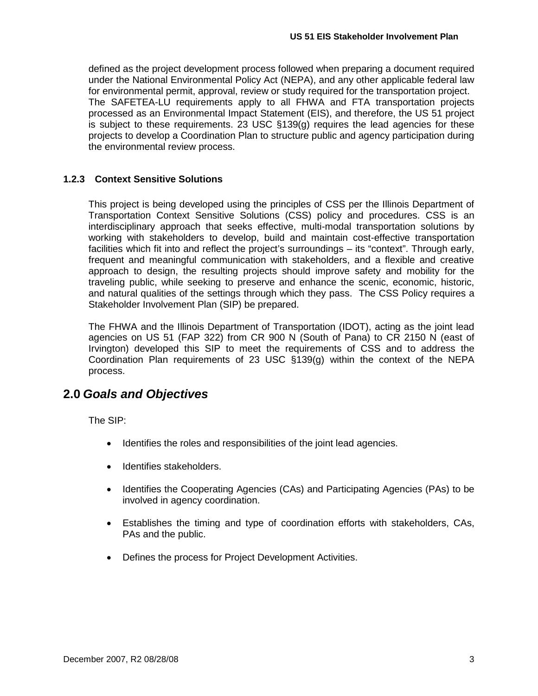defined as the project development process followed when preparing a document required under the National Environmental Policy Act (NEPA), and any other applicable federal law for environmental permit, approval, review or study required for the transportation project. The SAFETEA-LU requirements apply to all FHWA and FTA transportation projects processed as an Environmental Impact Statement (EIS), and therefore, the US 51 project is subject to these requirements. 23 USC §139(g) requires the lead agencies for these projects to develop a Coordination Plan to structure public and agency participation during the environmental review process.

### **1.2.3 Context Sensitive Solutions**

This project is being developed using the principles of CSS per the Illinois Department of Transportation Context Sensitive Solutions (CSS) policy and procedures. CSS is an interdisciplinary approach that seeks effective, multi-modal transportation solutions by working with stakeholders to develop, build and maintain cost-effective transportation facilities which fit into and reflect the project's surroundings – its "context". Through early, frequent and meaningful communication with stakeholders, and a flexible and creative approach to design, the resulting projects should improve safety and mobility for the traveling public, while seeking to preserve and enhance the scenic, economic, historic, and natural qualities of the settings through which they pass. The CSS Policy requires a Stakeholder Involvement Plan (SIP) be prepared.

The FHWA and the Illinois Department of Transportation (IDOT), acting as the joint lead agencies on US 51 (FAP 322) from CR 900 N (South of Pana) to CR 2150 N (east of Irvington) developed this SIP to meet the requirements of CSS and to address the Coordination Plan requirements of 23 USC §139(g) within the context of the NEPA process.

### <span id="page-5-0"></span>**2.0** *Goals and Objectives*

The SIP:

- Identifies the roles and responsibilities of the joint lead agencies.
- Identifies stakeholders.
- Identifies the Cooperating Agencies (CAs) and Participating Agencies (PAs) to be involved in agency coordination.
- Establishes the timing and type of coordination efforts with stakeholders, CAs, PAs and the public.
- Defines the process for Project Development Activities.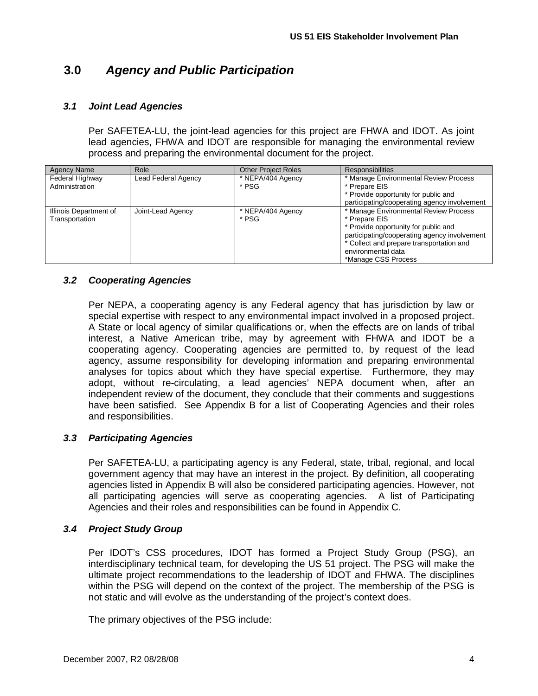### <span id="page-6-0"></span>**3.0** *Agency and Public Participation*

### <span id="page-6-1"></span>*3.1 Joint Lead Agencies*

Per SAFETEA-LU, the joint-lead agencies for this project are FHWA and IDOT. As joint lead agencies, FHWA and IDOT are responsible for managing the environmental review process and preparing the environmental document for the project.

| Agency Name            | Role                | <b>Other Project Roles</b> | <b>Responsibilities</b>                      |
|------------------------|---------------------|----------------------------|----------------------------------------------|
| Federal Highway        | Lead Federal Agency | * NEPA/404 Agency          | * Manage Environmental Review Process        |
| Administration         |                     | * PSG                      | * Prepare EIS                                |
|                        |                     |                            | * Provide opportunity for public and         |
|                        |                     |                            | participating/cooperating agency involvement |
| Illinois Department of | Joint-Lead Agency   | * NEPA/404 Agency          | * Manage Environmental Review Process        |
| Transportation         |                     | * PSG                      | * Prepare EIS                                |
|                        |                     |                            | * Provide opportunity for public and         |
|                        |                     |                            | participating/cooperating agency involvement |
|                        |                     |                            | * Collect and prepare transportation and     |
|                        |                     |                            | environmental data                           |
|                        |                     |                            | *Manage CSS Process                          |

### <span id="page-6-2"></span>*3.2 Cooperating Agencies*

Per NEPA, a cooperating agency is any Federal agency that has jurisdiction by law or special expertise with respect to any environmental impact involved in a proposed project. A State or local agency of similar qualifications or, when the effects are on lands of tribal interest, a Native American tribe, may by agreement with FHWA and IDOT be a cooperating agency. Cooperating agencies are permitted to, by request of the lead agency, assume responsibility for developing information and preparing environmental analyses for topics about which they have special expertise. Furthermore, they may adopt, without re-circulating, a lead agencies' NEPA document when, after an independent review of the document, they conclude that their comments and suggestions have been satisfied. See Appendix B for a list of Cooperating Agencies and their roles and responsibilities.

### <span id="page-6-3"></span>*3.3 Participating Agencies*

Per SAFETEA-LU, a participating agency is any Federal, state, tribal, regional, and local government agency that may have an interest in the project. By definition, all cooperating agencies listed in Appendix B will also be considered participating agencies. However, not all participating agencies will serve as cooperating agencies. A list of Participating Agencies and their roles and responsibilities can be found in Appendix C.

### <span id="page-6-4"></span>*3.4 Project Study Group*

Per IDOT's CSS procedures, IDOT has formed a Project Study Group (PSG), an interdisciplinary technical team, for developing the US 51 project. The PSG will make the ultimate project recommendations to the leadership of IDOT and FHWA. The disciplines within the PSG will depend on the context of the project. The membership of the PSG is not static and will evolve as the understanding of the project's context does.

The primary objectives of the PSG include: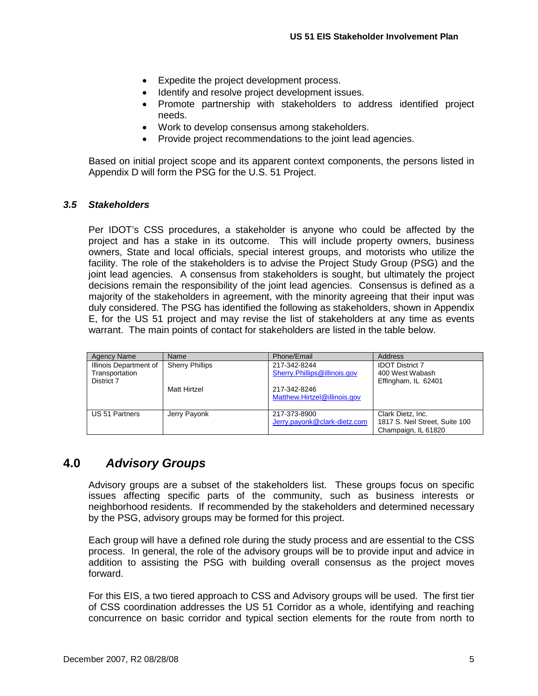- Expedite the project development process.
- Identify and resolve project development issues.
- Promote partnership with stakeholders to address identified project needs.
- Work to develop consensus among stakeholders.
- Provide project recommendations to the joint lead agencies.

Based on initial project scope and its apparent context components, the persons listed in Appendix D will form the PSG for the U.S. 51 Project.

### <span id="page-7-0"></span>*3.5 Stakeholders*

Per IDOT's CSS procedures, a stakeholder is anyone who could be affected by the project and has a stake in its outcome. This will include property owners, business owners, State and local officials, special interest groups, and motorists who utilize the facility. The role of the stakeholders is to advise the Project Study Group (PSG) and the joint lead agencies. A consensus from stakeholders is sought, but ultimately the project decisions remain the responsibility of the joint lead agencies. Consensus is defined as a majority of the stakeholders in agreement, with the minority agreeing that their input was duly considered. The PSG has identified the following as stakeholders, shown in Appendix E, for the US 51 project and may revise the list of stakeholders at any time as events warrant. The main points of contact for stakeholders are listed in the table below.

| Agency Name                                            | Name                   | Phone/Email                                     | Address                                                                    |
|--------------------------------------------------------|------------------------|-------------------------------------------------|----------------------------------------------------------------------------|
| Illinois Department of<br>Transportation<br>District 7 | <b>Sherry Phillips</b> | 217-342-8244<br>Sherry. Phillips @ illinois.gov | <b>IDOT District 7</b><br>400 West Wabash<br>Effingham, IL 62401           |
|                                                        | Matt Hirtzel           | 217-342-8246<br>Matthew.Hirtzel@illinois.gov    |                                                                            |
| US 51 Partners                                         | Jerry Payonk           | 217-373-8900<br>Jerry.payonk@clark-dietz.com    | Clark Dietz, Inc.<br>1817 S. Neil Street, Suite 100<br>Champaign, IL 61820 |

### <span id="page-7-1"></span>**4.0** *Advisory Groups*

Advisory groups are a subset of the stakeholders list. These groups focus on specific issues affecting specific parts of the community, such as business interests or neighborhood residents. If recommended by the stakeholders and determined necessary by the PSG, advisory groups may be formed for this project.

Each group will have a defined role during the study process and are essential to the CSS process. In general, the role of the advisory groups will be to provide input and advice in addition to assisting the PSG with building overall consensus as the project moves forward.

For this EIS, a two tiered approach to CSS and Advisory groups will be used. The first tier of CSS coordination addresses the US 51 Corridor as a whole, identifying and reaching concurrence on basic corridor and typical section elements for the route from north to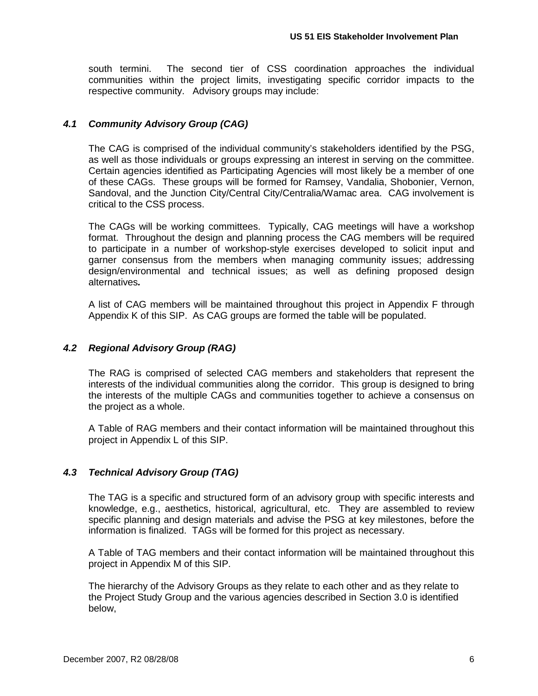south termini. The second tier of CSS coordination approaches the individual communities within the project limits, investigating specific corridor impacts to the respective community. Advisory groups may include:

### <span id="page-8-0"></span>*4.1 Community Advisory Group (CAG)*

The CAG is comprised of the individual community's stakeholders identified by the PSG, as well as those individuals or groups expressing an interest in serving on the committee. Certain agencies identified as Participating Agencies will most likely be a member of one of these CAGs. These groups will be formed for Ramsey, Vandalia, Shobonier, Vernon, Sandoval, and the Junction City/Central City/Centralia/Wamac area. CAG involvement is critical to the CSS process.

The CAGs will be working committees. Typically, CAG meetings will have a workshop format. Throughout the design and planning process the CAG members will be required to participate in a number of workshop-style exercises developed to solicit input and garner consensus from the members when managing community issues; addressing design/environmental and technical issues; as well as defining proposed design alternatives*.*

A list of CAG members will be maintained throughout this project in Appendix F through Appendix K of this SIP. As CAG groups are formed the table will be populated.

### <span id="page-8-1"></span>*4.2 Regional Advisory Group (RAG)*

The RAG is comprised of selected CAG members and stakeholders that represent the interests of the individual communities along the corridor. This group is designed to bring the interests of the multiple CAGs and communities together to achieve a consensus on the project as a whole.

A Table of RAG members and their contact information will be maintained throughout this project in Appendix L of this SIP.

### <span id="page-8-2"></span>*4.3 Technical Advisory Group (TAG)*

The TAG is a specific and structured form of an advisory group with specific interests and knowledge, e.g., aesthetics, historical, agricultural, etc. They are assembled to review specific planning and design materials and advise the PSG at key milestones, before the information is finalized. TAGs will be formed for this project as necessary.

A Table of TAG members and their contact information will be maintained throughout this project in Appendix M of this SIP.

The hierarchy of the Advisory Groups as they relate to each other and as they relate to the Project Study Group and the various agencies described in Section 3.0 is identified below,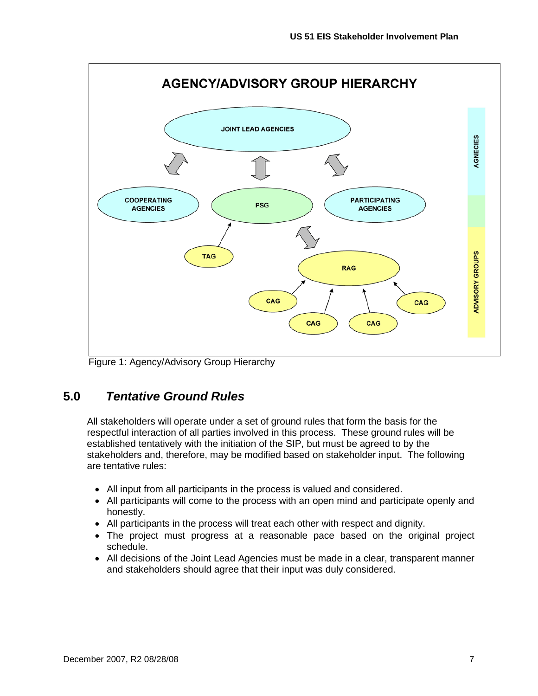

Figure 1: Agency/Advisory Group Hierarchy

### <span id="page-9-0"></span>**5.0** *Tentative Ground Rules*

All stakeholders will operate under a set of ground rules that form the basis for the respectful interaction of all parties involved in this process. These ground rules will be established tentatively with the initiation of the SIP, but must be agreed to by the stakeholders and, therefore, may be modified based on stakeholder input. The following are tentative rules:

- All input from all participants in the process is valued and considered.
- All participants will come to the process with an open mind and participate openly and honestly.
- All participants in the process will treat each other with respect and dignity.
- The project must progress at a reasonable pace based on the original project schedule.
- All decisions of the Joint Lead Agencies must be made in a clear, transparent manner and stakeholders should agree that their input was duly considered.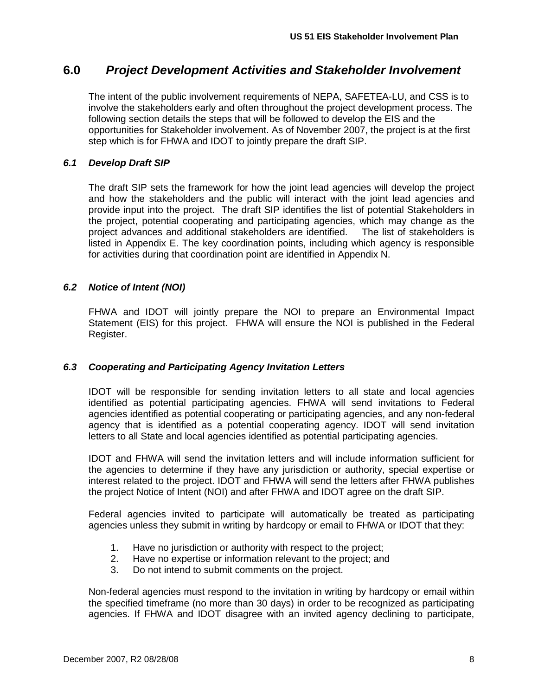### <span id="page-10-0"></span>**6.0** *Project Development Activities and Stakeholder Involvement*

The intent of the public involvement requirements of NEPA, SAFETEA-LU, and CSS is to involve the stakeholders early and often throughout the project development process. The following section details the steps that will be followed to develop the EIS and the opportunities for Stakeholder involvement. As of November 2007, the project is at the first step which is for FHWA and IDOT to jointly prepare the draft SIP.

### <span id="page-10-1"></span>*6.1 Develop Draft SIP*

The draft SIP sets the framework for how the joint lead agencies will develop the project and how the stakeholders and the public will interact with the joint lead agencies and provide input into the project. The draft SIP identifies the list of potential Stakeholders in the project, potential cooperating and participating agencies, which may change as the project advances and additional stakeholders are identified. The list of stakeholders is project advances and additional stakeholders are identified. listed in Appendix E. The key coordination points, including which agency is responsible for activities during that coordination point are identified in Appendix N.

### <span id="page-10-2"></span>*6.2 Notice of Intent (NOI)*

FHWA and IDOT will jointly prepare the NOI to prepare an Environmental Impact Statement (EIS) for this project. FHWA will ensure the NOI is published in the Federal Register.

### <span id="page-10-3"></span>*6.3 Cooperating and Participating Agency Invitation Letters*

IDOT will be responsible for sending invitation letters to all state and local agencies identified as potential participating agencies. FHWA will send invitations to Federal agencies identified as potential cooperating or participating agencies, and any non-federal agency that is identified as a potential cooperating agency. IDOT will send invitation letters to all State and local agencies identified as potential participating agencies.

IDOT and FHWA will send the invitation letters and will include information sufficient for the agencies to determine if they have any jurisdiction or authority, special expertise or interest related to the project. IDOT and FHWA will send the letters after FHWA publishes the project Notice of Intent (NOI) and after FHWA and IDOT agree on the draft SIP.

Federal agencies invited to participate will automatically be treated as participating agencies unless they submit in writing by hardcopy or email to FHWA or IDOT that they:

- 1. Have no jurisdiction or authority with respect to the project;
- 2. Have no expertise or information relevant to the project; and
- 3. Do not intend to submit comments on the project.

Non-federal agencies must respond to the invitation in writing by hardcopy or email within the specified timeframe (no more than 30 days) in order to be recognized as participating agencies. If FHWA and IDOT disagree with an invited agency declining to participate,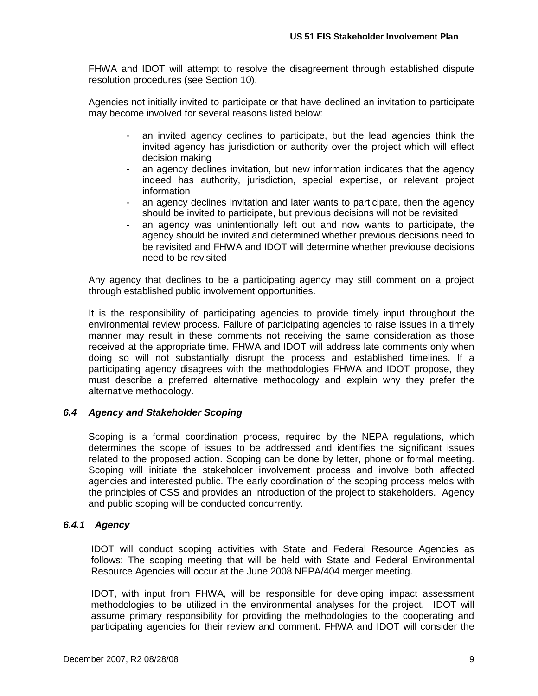FHWA and IDOT will attempt to resolve the disagreement through established dispute resolution procedures (see Section 10).

Agencies not initially invited to participate or that have declined an invitation to participate may become involved for several reasons listed below:

- an invited agency declines to participate, but the lead agencies think the invited agency has jurisdiction or authority over the project which will effect decision making
- an agency declines invitation, but new information indicates that the agency indeed has authority, jurisdiction, special expertise, or relevant project information
- an agency declines invitation and later wants to participate, then the agency should be invited to participate, but previous decisions will not be revisited
- an agency was unintentionally left out and now wants to participate, the agency should be invited and determined whether previous decisions need to be revisited and FHWA and IDOT will determine whether previouse decisions need to be revisited

Any agency that declines to be a participating agency may still comment on a project through established public involvement opportunities.

It is the responsibility of participating agencies to provide timely input throughout the environmental review process. Failure of participating agencies to raise issues in a timely manner may result in these comments not receiving the same consideration as those received at the appropriate time. FHWA and IDOT will address late comments only when doing so will not substantially disrupt the process and established timelines. If a participating agency disagrees with the methodologies FHWA and IDOT propose, they must describe a preferred alternative methodology and explain why they prefer the alternative methodology.

### <span id="page-11-0"></span>*6.4 Agency and Stakeholder Scoping*

Scoping is a formal coordination process, required by the NEPA regulations, which determines the scope of issues to be addressed and identifies the significant issues related to the proposed action. Scoping can be done by letter, phone or formal meeting. Scoping will initiate the stakeholder involvement process and involve both affected agencies and interested public. The early coordination of the scoping process melds with the principles of CSS and provides an introduction of the project to stakeholders. Agency and public scoping will be conducted concurrently.

### *6.4.1 Agency*

IDOT will conduct scoping activities with State and Federal Resource Agencies as follows: The scoping meeting that will be held with State and Federal Environmental Resource Agencies will occur at the June 2008 NEPA/404 merger meeting.

IDOT, with input from FHWA, will be responsible for developing impact assessment methodologies to be utilized in the environmental analyses for the project. IDOT will assume primary responsibility for providing the methodologies to the cooperating and participating agencies for their review and comment. FHWA and IDOT will consider the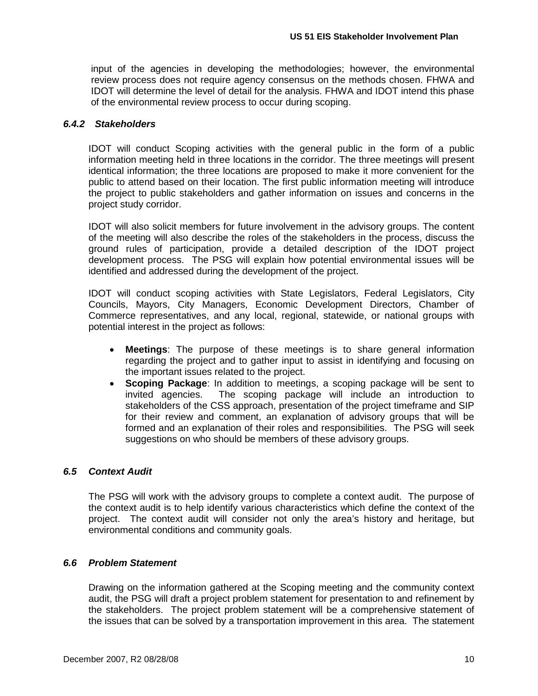input of the agencies in developing the methodologies; however, the environmental review process does not require agency consensus on the methods chosen. FHWA and IDOT will determine the level of detail for the analysis. FHWA and IDOT intend this phase of the environmental review process to occur during scoping.

### *6.4.2 Stakeholders*

IDOT will conduct Scoping activities with the general public in the form of a public information meeting held in three locations in the corridor. The three meetings will present identical information; the three locations are proposed to make it more convenient for the public to attend based on their location. The first public information meeting will introduce the project to public stakeholders and gather information on issues and concerns in the project study corridor.

IDOT will also solicit members for future involvement in the advisory groups. The content of the meeting will also describe the roles of the stakeholders in the process, discuss the ground rules of participation, provide a detailed description of the IDOT project development process. The PSG will explain how potential environmental issues will be identified and addressed during the development of the project.

IDOT will conduct scoping activities with State Legislators, Federal Legislators, City Councils, Mayors, City Managers, Economic Development Directors, Chamber of Commerce representatives, and any local, regional, statewide, or national groups with potential interest in the project as follows:

- **Meetings**: The purpose of these meetings is to share general information regarding the project and to gather input to assist in identifying and focusing on the important issues related to the project.
- **Scoping Package**: In addition to meetings, a scoping package will be sent to invited agencies. The scoping package will include an introduction to stakeholders of the CSS approach, presentation of the project timeframe and SIP for their review and comment, an explanation of advisory groups that will be formed and an explanation of their roles and responsibilities. The PSG will seek suggestions on who should be members of these advisory groups.

### <span id="page-12-0"></span>*6.5 Context Audit*

The PSG will work with the advisory groups to complete a context audit. The purpose of the context audit is to help identify various characteristics which define the context of the project. The context audit will consider not only the area's history and heritage, but environmental conditions and community goals.

#### <span id="page-12-1"></span>*6.6 Problem Statement*

Drawing on the information gathered at the Scoping meeting and the community context audit, the PSG will draft a project problem statement for presentation to and refinement by the stakeholders. The project problem statement will be a comprehensive statement of the issues that can be solved by a transportation improvement in this area. The statement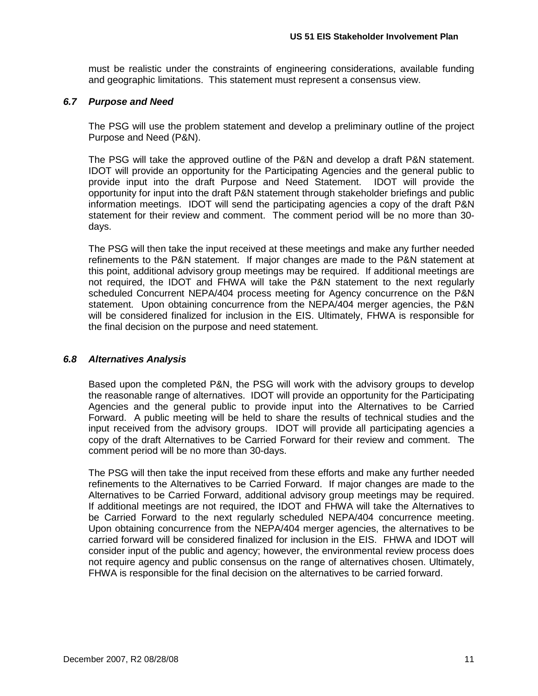must be realistic under the constraints of engineering considerations, available funding and geographic limitations. This statement must represent a consensus view.

### <span id="page-13-0"></span>*6.7 Purpose and Need*

The PSG will use the problem statement and develop a preliminary outline of the project Purpose and Need (P&N).

The PSG will take the approved outline of the P&N and develop a draft P&N statement. IDOT will provide an opportunity for the Participating Agencies and the general public to provide input into the draft Purpose and Need Statement. IDOT will provide the opportunity for input into the draft P&N statement through stakeholder briefings and public information meetings. IDOT will send the participating agencies a copy of the draft P&N statement for their review and comment. The comment period will be no more than 30 days.

The PSG will then take the input received at these meetings and make any further needed refinements to the P&N statement. If major changes are made to the P&N statement at this point, additional advisory group meetings may be required. If additional meetings are not required, the IDOT and FHWA will take the P&N statement to the next regularly scheduled Concurrent NEPA/404 process meeting for Agency concurrence on the P&N statement. Upon obtaining concurrence from the NEPA/404 merger agencies, the P&N will be considered finalized for inclusion in the EIS. Ultimately, FHWA is responsible for the final decision on the purpose and need statement.

### <span id="page-13-1"></span>*6.8 Alternatives Analysis*

Based upon the completed P&N, the PSG will work with the advisory groups to develop the reasonable range of alternatives. IDOT will provide an opportunity for the Participating Agencies and the general public to provide input into the Alternatives to be Carried Forward. A public meeting will be held to share the results of technical studies and the input received from the advisory groups. IDOT will provide all participating agencies a copy of the draft Alternatives to be Carried Forward for their review and comment. The comment period will be no more than 30-days.

The PSG will then take the input received from these efforts and make any further needed refinements to the Alternatives to be Carried Forward. If major changes are made to the Alternatives to be Carried Forward, additional advisory group meetings may be required. If additional meetings are not required, the IDOT and FHWA will take the Alternatives to be Carried Forward to the next regularly scheduled NEPA/404 concurrence meeting. Upon obtaining concurrence from the NEPA/404 merger agencies, the alternatives to be carried forward will be considered finalized for inclusion in the EIS. FHWA and IDOT will consider input of the public and agency; however, the environmental review process does not require agency and public consensus on the range of alternatives chosen. Ultimately, FHWA is responsible for the final decision on the alternatives to be carried forward.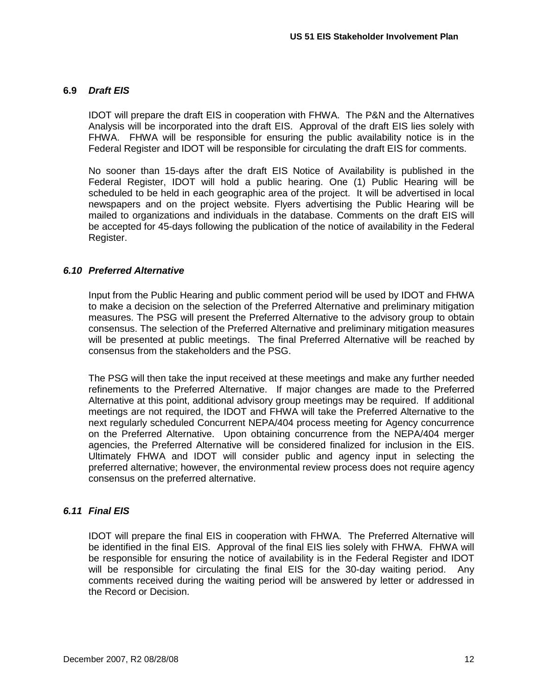### <span id="page-14-0"></span>**6.9** *Draft EIS*

IDOT will prepare the draft EIS in cooperation with FHWA. The P&N and the Alternatives Analysis will be incorporated into the draft EIS. Approval of the draft EIS lies solely with FHWA. FHWA will be responsible for ensuring the public availability notice is in the Federal Register and IDOT will be responsible for circulating the draft EIS for comments.

No sooner than 15-days after the draft EIS Notice of Availability is published in the Federal Register, IDOT will hold a public hearing. One (1) Public Hearing will be scheduled to be held in each geographic area of the project. It will be advertised in local newspapers and on the project website. Flyers advertising the Public Hearing will be mailed to organizations and individuals in the database. Comments on the draft EIS will be accepted for 45-days following the publication of the notice of availability in the Federal Register.

### <span id="page-14-1"></span>*6.10 Preferred Alternative*

Input from the Public Hearing and public comment period will be used by IDOT and FHWA to make a decision on the selection of the Preferred Alternative and preliminary mitigation measures. The PSG will present the Preferred Alternative to the advisory group to obtain consensus. The selection of the Preferred Alternative and preliminary mitigation measures will be presented at public meetings. The final Preferred Alternative will be reached by consensus from the stakeholders and the PSG.

The PSG will then take the input received at these meetings and make any further needed refinements to the Preferred Alternative. If major changes are made to the Preferred Alternative at this point, additional advisory group meetings may be required. If additional meetings are not required, the IDOT and FHWA will take the Preferred Alternative to the next regularly scheduled Concurrent NEPA/404 process meeting for Agency concurrence on the Preferred Alternative. Upon obtaining concurrence from the NEPA/404 merger agencies, the Preferred Alternative will be considered finalized for inclusion in the EIS. Ultimately FHWA and IDOT will consider public and agency input in selecting the preferred alternative; however, the environmental review process does not require agency consensus on the preferred alternative.

### <span id="page-14-2"></span>*6.11 Final EIS*

IDOT will prepare the final EIS in cooperation with FHWA. The Preferred Alternative will be identified in the final EIS. Approval of the final EIS lies solely with FHWA. FHWA will be responsible for ensuring the notice of availability is in the Federal Register and IDOT will be responsible for circulating the final EIS for the 30-day waiting period. Any comments received during the waiting period will be answered by letter or addressed in the Record or Decision.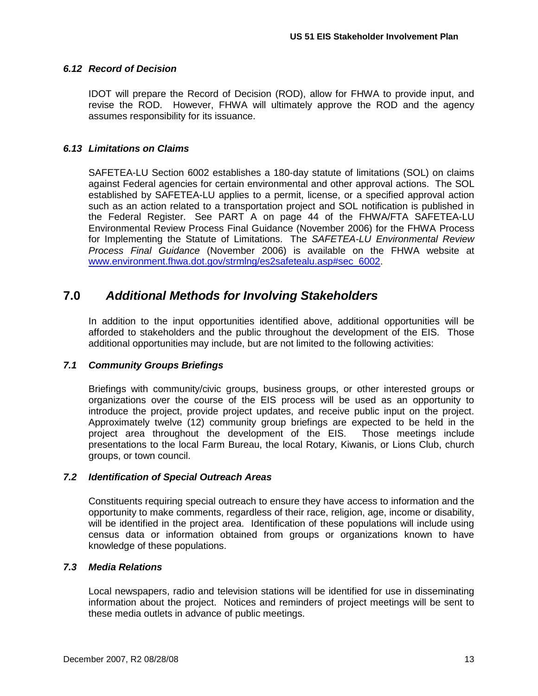### <span id="page-15-0"></span>*6.12 Record of Decision*

IDOT will prepare the Record of Decision (ROD), allow for FHWA to provide input, and revise the ROD. However, FHWA will ultimately approve the ROD and the agency assumes responsibility for its issuance.

### <span id="page-15-1"></span>*6.13 Limitations on Claims*

SAFETEA-LU Section 6002 establishes a 180-day statute of limitations (SOL) on claims against Federal agencies for certain environmental and other approval actions. The SOL established by SAFETEA-LU applies to a permit, license, or a specified approval action such as an action related to a transportation project and SOL notification is published in the Federal Register. See PART A on page 44 of the FHWA/FTA SAFETEA-LU Environmental Review Process Final Guidance (November 2006) for the FHWA Process for Implementing the Statute of Limitations. The *SAFETEA-LU Environmental Review Process Final Guidance* (November 2006) is available on the FHWA website at [www.environment.fhwa.dot.gov/strmlng/es2safetealu.asp#sec\\_6002.](http://www.environment.fhwa.dot.gov/strmlng/es2safetealu.asp#sec_6002)

### <span id="page-15-2"></span>**7.0** *Additional Methods for Involving Stakeholders*

In addition to the input opportunities identified above, additional opportunities will be afforded to stakeholders and the public throughout the development of the EIS. Those additional opportunities may include, but are not limited to the following activities:

### <span id="page-15-3"></span>*7.1 Community Groups Briefings*

Briefings with community/civic groups, business groups, or other interested groups or organizations over the course of the EIS process will be used as an opportunity to introduce the project, provide project updates, and receive public input on the project. Approximately twelve (12) community group briefings are expected to be held in the project area throughout the development of the EIS. Those meetings include presentations to the local Farm Bureau, the local Rotary, Kiwanis, or Lions Club, church groups, or town council.

### <span id="page-15-4"></span>*7.2 Identification of Special Outreach Areas*

Constituents requiring special outreach to ensure they have access to information and the opportunity to make comments, regardless of their race, religion, age, income or disability, will be identified in the project area. Identification of these populations will include using census data or information obtained from groups or organizations known to have knowledge of these populations.

### <span id="page-15-5"></span>*7.3 Media Relations*

Local newspapers, radio and television stations will be identified for use in disseminating information about the project. Notices and reminders of project meetings will be sent to these media outlets in advance of public meetings.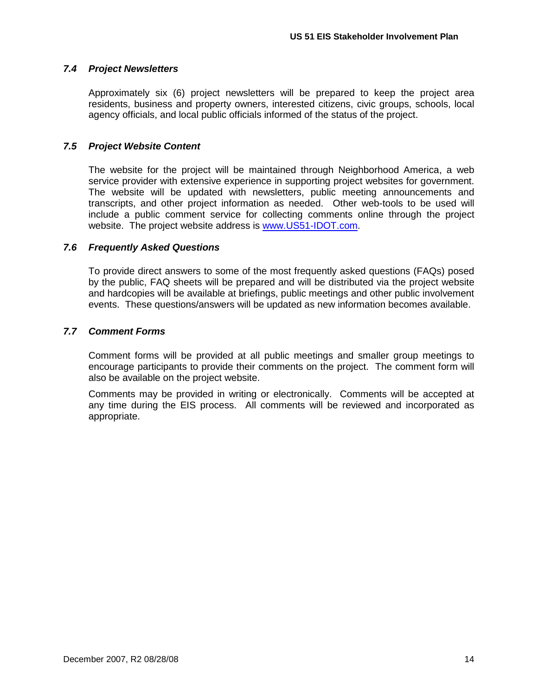### <span id="page-16-0"></span>*7.4 Project Newsletters*

Approximately six (6) project newsletters will be prepared to keep the project area residents, business and property owners, interested citizens, civic groups, schools, local agency officials, and local public officials informed of the status of the project.

### <span id="page-16-1"></span>*7.5 Project Website Content*

The website for the project will be maintained through Neighborhood America, a web service provider with extensive experience in supporting project websites for government. The website will be updated with newsletters, public meeting announcements and transcripts, and other project information as needed. Other web-tools to be used will include a public comment service for collecting comments online through the project website. The project website address is [www.US51-IDOT.com.](http://www.us51-idot.com/)

### <span id="page-16-2"></span>*7.6 Frequently Asked Questions*

To provide direct answers to some of the most frequently asked questions (FAQs) posed by the public, FAQ sheets will be prepared and will be distributed via the project website and hardcopies will be available at briefings, public meetings and other public involvement events. These questions/answers will be updated as new information becomes available.

### <span id="page-16-3"></span>*7.7 Comment Forms*

Comment forms will be provided at all public meetings and smaller group meetings to encourage participants to provide their comments on the project. The comment form will also be available on the project website.

Comments may be provided in writing or electronically. Comments will be accepted at any time during the EIS process. All comments will be reviewed and incorporated as appropriate.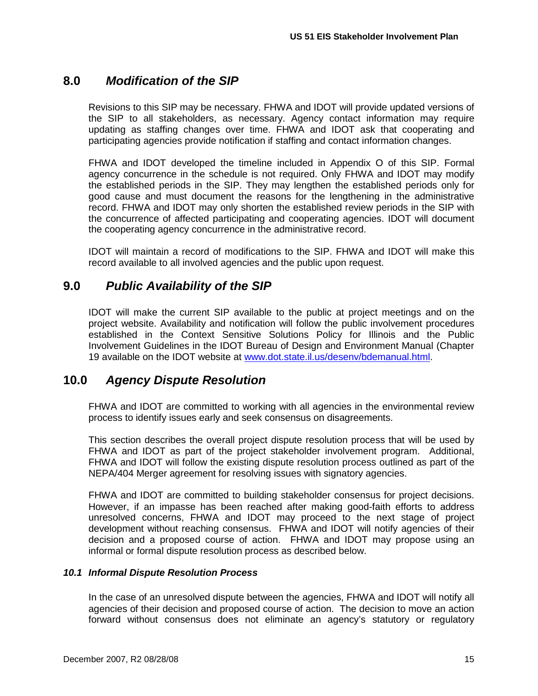### <span id="page-17-0"></span>**8.0** *Modification of the SIP*

Revisions to this SIP may be necessary. FHWA and IDOT will provide updated versions of the SIP to all stakeholders, as necessary. Agency contact information may require updating as staffing changes over time. FHWA and IDOT ask that cooperating and participating agencies provide notification if staffing and contact information changes.

FHWA and IDOT developed the timeline included in Appendix O of this SIP. Formal agency concurrence in the schedule is not required. Only FHWA and IDOT may modify the established periods in the SIP. They may lengthen the established periods only for good cause and must document the reasons for the lengthening in the administrative record. FHWA and IDOT may only shorten the established review periods in the SIP with the concurrence of affected participating and cooperating agencies. IDOT will document the cooperating agency concurrence in the administrative record.

IDOT will maintain a record of modifications to the SIP. FHWA and IDOT will make this record available to all involved agencies and the public upon request.

### <span id="page-17-1"></span>**9.0** *Public Availability of the SIP*

IDOT will make the current SIP available to the public at project meetings and on the project website. Availability and notification will follow the public involvement procedures established in the Context Sensitive Solutions Policy for Illinois and the Public Involvement Guidelines in the IDOT Bureau of Design and Environment Manual (Chapter 19 available on the IDOT website at [www.dot.state.il.us/desenv/bdemanual.html.](http://www.dot.state.il.us/desenv/bdemanual.html)

### <span id="page-17-2"></span>**10.0** *Agency Dispute Resolution*

FHWA and IDOT are committed to working with all agencies in the environmental review process to identify issues early and seek consensus on disagreements.

This section describes the overall project dispute resolution process that will be used by FHWA and IDOT as part of the project stakeholder involvement program. Additional, FHWA and IDOT will follow the existing dispute resolution process outlined as part of the NEPA/404 Merger agreement for resolving issues with signatory agencies.

FHWA and IDOT are committed to building stakeholder consensus for project decisions. However, if an impasse has been reached after making good-faith efforts to address unresolved concerns, FHWA and IDOT may proceed to the next stage of project development without reaching consensus. FHWA and IDOT will notify agencies of their decision and a proposed course of action. FHWA and IDOT may propose using an informal or formal dispute resolution process as described below.

### <span id="page-17-3"></span>*10.1 Informal Dispute Resolution Process*

In the case of an unresolved dispute between the agencies, FHWA and IDOT will notify all agencies of their decision and proposed course of action. The decision to move an action forward without consensus does not eliminate an agency's statutory or regulatory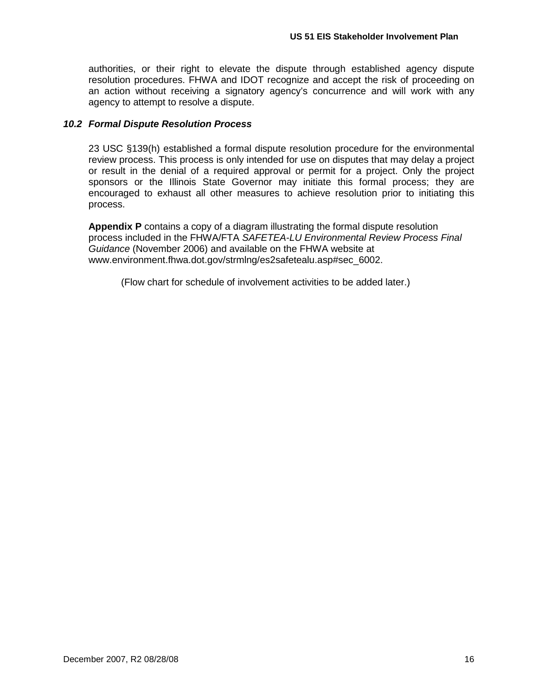authorities, or their right to elevate the dispute through established agency dispute resolution procedures. FHWA and IDOT recognize and accept the risk of proceeding on an action without receiving a signatory agency's concurrence and will work with any agency to attempt to resolve a dispute.

### <span id="page-18-0"></span>*10.2 Formal Dispute Resolution Process*

23 USC §139(h) established a formal dispute resolution procedure for the environmental review process. This process is only intended for use on disputes that may delay a project or result in the denial of a required approval or permit for a project. Only the project sponsors or the Illinois State Governor may initiate this formal process; they are encouraged to exhaust all other measures to achieve resolution prior to initiating this process.

**Appendix P** contains a copy of a diagram illustrating the formal dispute resolution process included in the FHWA/FTA *SAFETEA-LU Environmental Review Process Final Guidance* (November 2006) and available on the FHWA website at www.environment.fhwa.dot.gov/strmlng/es2safetealu.asp#sec\_6002.

(Flow chart for schedule of involvement activities to be added later.)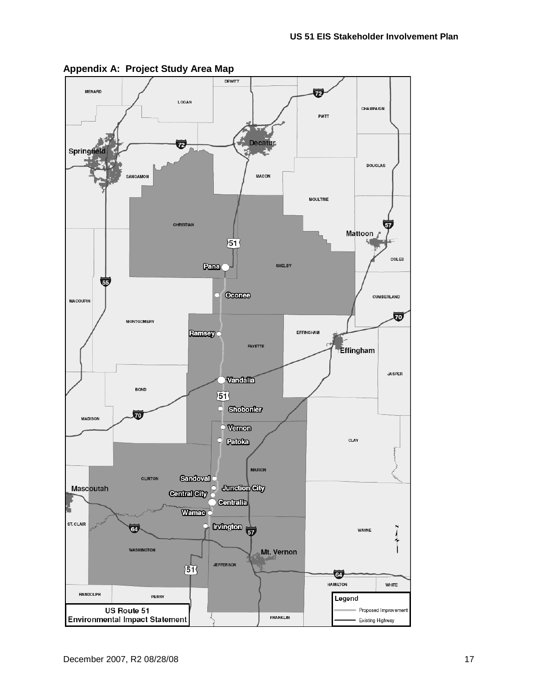

<span id="page-19-0"></span>**Appendix A: Project Study Area Map**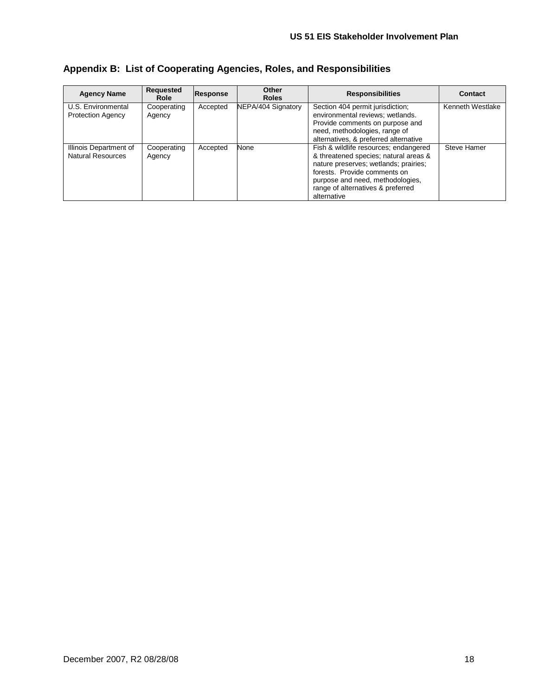| <b>Agency Name</b>                                 | Reauested<br>Role     | <b>Response</b> | Other<br><b>Roles</b> | <b>Responsibilities</b>                                                                                                                                                                                                                         | Contact          |
|----------------------------------------------------|-----------------------|-----------------|-----------------------|-------------------------------------------------------------------------------------------------------------------------------------------------------------------------------------------------------------------------------------------------|------------------|
| U.S. Environmental<br><b>Protection Agency</b>     | Cooperating<br>Agency | Accepted        | NEPA/404 Signatory    | Section 404 permit jurisdiction;<br>environmental reviews; wetlands.<br>Provide comments on purpose and<br>need, methodologies, range of<br>alternatives, & preferred alternative                                                               | Kenneth Westlake |
| Illinois Department of<br><b>Natural Resources</b> | Cooperating<br>Agency | Accepted        | None                  | Fish & wildlife resources; endangered<br>& threatened species; natural areas &<br>nature preserves; wetlands; prairies;<br>forests. Provide comments on<br>purpose and need, methodologies,<br>range of alternatives & preferred<br>alternative | Steve Hamer      |

### <span id="page-20-0"></span>**Appendix B: List of Cooperating Agencies, Roles, and Responsibilities**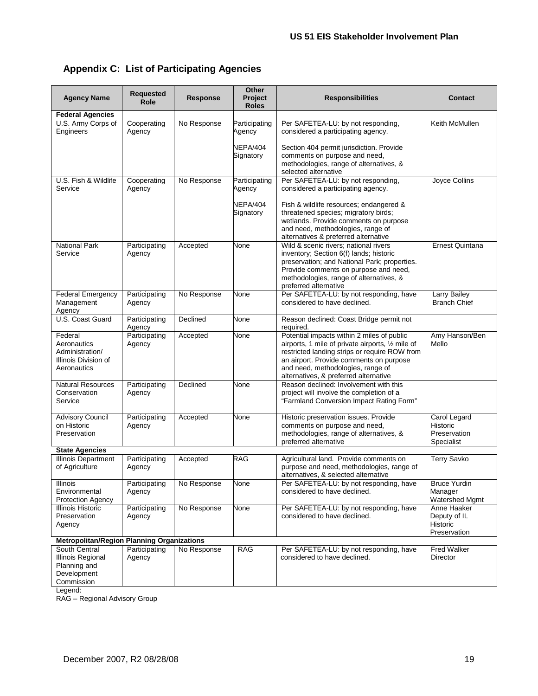<span id="page-21-0"></span>

| <b>Appendix C: List of Participating Agencies</b> |  |  |  |  |
|---------------------------------------------------|--|--|--|--|
|---------------------------------------------------|--|--|--|--|

| <b>Agency Name</b>                                                               | <b>Requested</b><br>Role | <b>Response</b> | Other<br>Project<br><b>Roles</b> | <b>Responsibilities</b>                                                                                                                                                                                                                                                   | <b>Contact</b>                                                |
|----------------------------------------------------------------------------------|--------------------------|-----------------|----------------------------------|---------------------------------------------------------------------------------------------------------------------------------------------------------------------------------------------------------------------------------------------------------------------------|---------------------------------------------------------------|
| <b>Federal Agencies</b>                                                          |                          |                 |                                  |                                                                                                                                                                                                                                                                           |                                                               |
| U.S. Army Corps of<br>Engineers                                                  | Cooperating<br>Agency    | No Response     | Participating<br>Agency          | Per SAFETEA-LU: by not responding,<br>considered a participating agency.                                                                                                                                                                                                  | Keith McMullen                                                |
|                                                                                  |                          |                 | NEPA/404<br>Signatory            | Section 404 permit jurisdiction. Provide<br>comments on purpose and need,<br>methodologies, range of alternatives, &<br>selected alternative                                                                                                                              |                                                               |
| U.S. Fish & Wildlife<br>Service                                                  | Cooperating<br>Agency    | No Response     | Participating<br>Agency          | Per SAFETEA-LU: by not responding,<br>considered a participating agency.                                                                                                                                                                                                  | Joyce Collins                                                 |
|                                                                                  |                          |                 | NEPA/404<br>Signatory            | Fish & wildlife resources; endangered &<br>threatened species; migratory birds;<br>wetlands. Provide comments on purpose<br>and need, methodologies, range of<br>alternatives & preferred alternative                                                                     |                                                               |
| National Park<br>Service                                                         | Participating<br>Agency  | Accepted        | None                             | Wild & scenic rivers; national rivers<br>inventory; Section 6(f) lands; historic<br>preservation; and National Park; properties.<br>Provide comments on purpose and need,<br>methodologies, range of alternatives, &<br>preferred alternative                             | <b>Ernest Quintana</b>                                        |
| <b>Federal Emergency</b><br>Management<br>Agency                                 | Participating<br>Agency  | No Response     | None                             | Per SAFETEA-LU: by not responding, have<br>considered to have declined.                                                                                                                                                                                                   | Larry Bailey<br><b>Branch Chief</b>                           |
| U.S. Coast Guard                                                                 | Participating<br>Agency  | Declined        | None                             | Reason declined: Coast Bridge permit not<br>required.                                                                                                                                                                                                                     |                                                               |
| Federal<br>Aeronautics<br>Administration/<br>Illinois Division of<br>Aeronautics | Participating<br>Agency  | Accepted        | None                             | Potential impacts within 2 miles of public<br>airports, 1 mile of private airports, 1/2 mile of<br>restricted landing strips or require ROW from<br>an airport. Provide comments on purpose<br>and need, methodologies, range of<br>alternatives, & preferred alternative | Amy Hanson/Ben<br>Mello                                       |
| <b>Natural Resources</b><br>Conservation<br>Service                              | Participating<br>Agency  | Declined        | None                             | Reason declined: Involvement with this<br>project will involve the completion of a<br>"Farmland Conversion Impact Rating Form"                                                                                                                                            |                                                               |
| <b>Advisory Council</b><br>on Historic<br>Preservation                           | Participating<br>Agency  | Accepted        | None                             | Historic preservation issues. Provide<br>comments on purpose and need,<br>methodologies, range of alternatives, &<br>preferred alternative                                                                                                                                | Carol Legard<br><b>Historic</b><br>Preservation<br>Specialist |
| <b>State Agencies</b>                                                            |                          |                 |                                  |                                                                                                                                                                                                                                                                           |                                                               |
| Illinois Department<br>of Agriculture                                            | Participating<br>Agency  | Accepted        | <b>RAG</b>                       | Agricultural land. Provide comments on<br>purpose and need, methodologies, range of<br>alternatives, & selected alternative                                                                                                                                               | <b>Terry Savko</b>                                            |
| Illinois<br>Environmental<br><b>Protection Agency</b>                            | Participating<br>Agency  | No Response     | None                             | Per SAFETEA-LU: by not responding, have<br>considered to have declined.                                                                                                                                                                                                   | <b>Bruce Yurdin</b><br>Manager<br>Watershed Mgmt              |
| Illinois Historic<br>Preservation<br>Agency                                      | Participating<br>Agency  | No Response     | None                             | Per SAFETEA-LU: by not responding, have<br>considered to have declined.                                                                                                                                                                                                   | Anne Haaker<br>Deputy of IL<br>Historic<br>Preservation       |
| <b>Metropolitan/Region Planning Organizations</b>                                |                          |                 |                                  |                                                                                                                                                                                                                                                                           |                                                               |
| South Central<br>Illinois Regional<br>Planning and<br>Development<br>Commission  | Participating<br>Agency  | No Response     | <b>RAG</b>                       | Per SAFETEA-LU: by not responding, have<br>considered to have declined.                                                                                                                                                                                                   | <b>Fred Walker</b><br>Director                                |

Legend:

RAG – Regional Advisory Group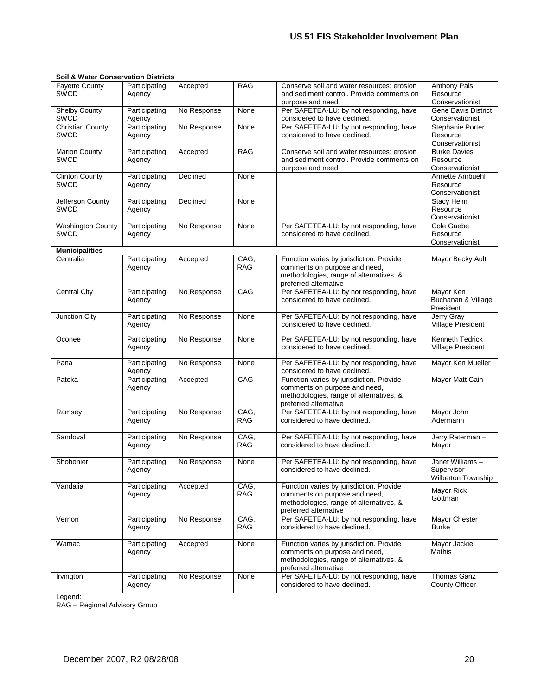| <b>Fayette County</b><br><b>SWCD</b>   | Participating<br>Agency | Accepted    | RAG                | Conserve soil and water resources; erosion<br>and sediment control. Provide comments on<br>purpose and need                                   | <b>Anthony Pals</b><br>Resource<br>Conservationist  |
|----------------------------------------|-------------------------|-------------|--------------------|-----------------------------------------------------------------------------------------------------------------------------------------------|-----------------------------------------------------|
| <b>Shelby County</b><br>SWCD           | Participating<br>Agency | No Response | None               | Per SAFETEA-LU: by not responding, have<br>considered to have declined.                                                                       | <b>Gene Davis District</b><br>Conservationist       |
| <b>Christian County</b><br><b>SWCD</b> | Participating<br>Agency | No Response | None               | Per SAFETEA-LU: by not responding, have<br>considered to have declined.                                                                       | Stephanie Porter<br>Resource<br>Conservationist     |
| <b>Marion County</b><br><b>SWCD</b>    | Participating<br>Agency | Accepted    | <b>RAG</b>         | Conserve soil and water resources; erosion<br>and sediment control. Provide comments on<br>purpose and need                                   | <b>Burke Davies</b><br>Resource<br>Conservationist  |
| <b>Clinton County</b><br><b>SWCD</b>   | Participating<br>Agency | Declined    | None               |                                                                                                                                               | Annette Ambuehl<br>Resource<br>Conservationist      |
| Jefferson County<br>SWCD               | Participating<br>Agency | Declined    | None               |                                                                                                                                               | <b>Stacy Helm</b><br>Resource<br>Conservationist    |
| <b>Washington County</b><br>SWCD       | Participating<br>Agency | No Response | None               | Per SAFETEA-LU: by not responding, have<br>considered to have declined.                                                                       | Cole Gaebe<br>Resource<br>Conservationist           |
| <b>Municipalities</b>                  |                         |             |                    |                                                                                                                                               |                                                     |
| Centralia                              | Participating<br>Agency | Accepted    | CAG.<br><b>RAG</b> | Function varies by jurisdiction. Provide<br>comments on purpose and need,<br>methodologies, range of alternatives, &<br>preferred alternative | Mayor Becky Ault                                    |
| <b>Central City</b>                    | Participating<br>Agency | No Response | CAG                | Per SAFETEA-LU: by not responding, have<br>considered to have declined.                                                                       | Mayor Ken<br>Buchanan & Village<br>President        |
| Junction City                          | Participating<br>Agency | No Response | None               | Per SAFETEA-LU: by not responding, have<br>considered to have declined.                                                                       | Jerry Gray<br>Village President                     |
| Oconee                                 | Participating<br>Agency | No Response | None               | Per SAFETEA-LU: by not responding, have<br>considered to have declined.                                                                       | Kenneth Tedrick<br><b>Village President</b>         |
| Pana                                   | Participating<br>Agency | No Response | None               | Per SAFETEA-LU: by not responding, have<br>considered to have declined.                                                                       | Mayor Ken Mueller                                   |
| Patoka                                 | Participating<br>Agency | Accepted    | CAG                | Function varies by jurisdiction. Provide<br>comments on purpose and need,<br>methodologies, range of alternatives, &<br>preferred alternative | Mayor Matt Cain                                     |
| Ramsey                                 | Participating<br>Agency | No Response | CAG.<br><b>RAG</b> | Per SAFETEA-LU: by not responding, have<br>considered to have declined.                                                                       | Mayor John<br>Adermann                              |
| Sandoval                               | Participating<br>Agency | No Response | CAG,<br><b>RAG</b> | Per SAFETEA-LU: by not responding, have<br>considered to have declined.                                                                       | Jerry Raterman-<br>Mayor                            |
| Shobonier                              | Participating<br>Agency | No Response | None               | Per SAFETEA-LU: by not responding, have<br>considered to have declined.                                                                       | Janet Williams-<br>Supervisor<br>Wilberton Township |
| Vandalia                               | Participating<br>Agency | Accepted    | CAG,<br>RAG        | Function varies by jurisdiction. Provide<br>comments on purpose and need,<br>methodologies, range of alternatives, &<br>preferred alternative | Mayor Rick<br>Gottman                               |
| Vernon                                 | Participating<br>Agency | No Response | CAG.<br>RAG        | Per SAFETEA-LU: by not responding, have<br>considered to have declined.                                                                       | Mayor Chester<br><b>Burke</b>                       |
| Wamac                                  | Participating<br>Agency | Accepted    | None               | Function varies by jurisdiction. Provide<br>comments on purpose and need,<br>methodologies, range of alternatives, &<br>preferred alternative | Mayor Jackie<br>Mathis                              |
| Irvington                              | Participating<br>Agency | No Response | None               | Per SAFETEA-LU: by not responding, have<br>considered to have declined.                                                                       | Thomas Ganz<br><b>County Officer</b>                |

#### **Soil & Water Conservation Districts**

Legend:

RAG – Regional Advisory Group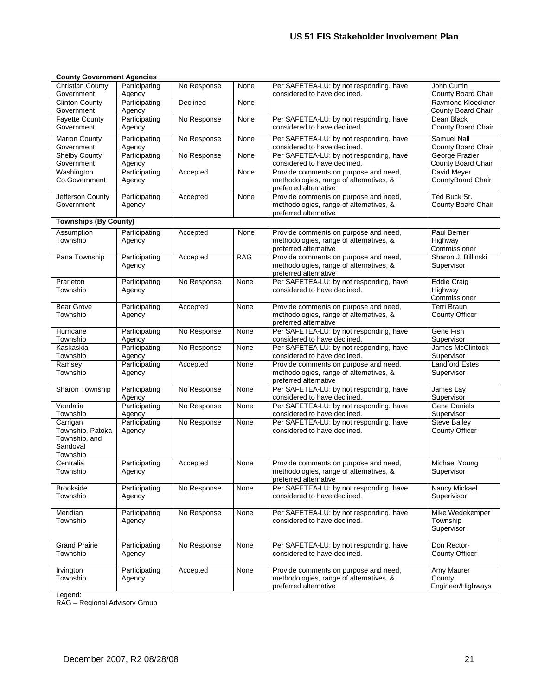#### **County Government Agencies**

| oounty oovermient Agencies                                            |                         |             |      |                                                                                                           |                                               |
|-----------------------------------------------------------------------|-------------------------|-------------|------|-----------------------------------------------------------------------------------------------------------|-----------------------------------------------|
| <b>Christian County</b><br>Government                                 | Participating<br>Agency | No Response | None | Per SAFETEA-LU: by not responding, have<br>considered to have declined.                                   | John Curtin<br>County Board Chair             |
| <b>Clinton County</b><br>Government                                   | Participating<br>Agency | Declined    | None |                                                                                                           | Raymond Kloeckner<br>County Board Chair       |
| <b>Fayette County</b>                                                 | Participating           | No Response | None | Per SAFETEA-LU: by not responding, have                                                                   | Dean Black                                    |
| Government                                                            | Agency                  |             |      | considered to have declined.                                                                              | County Board Chair                            |
| <b>Marion County</b><br>Government                                    | Participating           | No Response | None | Per SAFETEA-LU: by not responding, have<br>considered to have declined.                                   | <b>Samuel Nall</b><br>County Board Chair      |
| <b>Shelby County</b>                                                  | Agency<br>Participating | No Response | None | Per SAFETEA-LU: by not responding, have                                                                   | George Frazier                                |
| Government                                                            | Agency                  |             |      | considered to have declined.                                                                              | County Board Chair                            |
| Washington<br>Co.Government                                           | Participating<br>Agency | Accepted    | None | Provide comments on purpose and need,<br>methodologies, range of alternatives, &<br>preferred alternative | David Mever<br>CountyBoard Chair              |
| Jefferson County<br>Government                                        | Participating<br>Agency | Accepted    | None | Provide comments on purpose and need,<br>methodologies, range of alternatives, &<br>preferred alternative | Ted Buck Sr.<br>County Board Chair            |
| <b>Townships (By County)</b>                                          |                         |             |      |                                                                                                           |                                               |
| Assumption<br>Township                                                | Participating<br>Agency | Accepted    | None | Provide comments on purpose and need,<br>methodologies, range of alternatives, &<br>preferred alternative | Paul Berner<br>Highway<br>Commissioner        |
| Pana Township                                                         | Participating<br>Agency | Accepted    | RAG  | Provide comments on purpose and need,<br>methodologies, range of alternatives, &<br>preferred alternative | Sharon J. Billinski<br>Supervisor             |
| Prarieton<br>Township                                                 | Participating<br>Agency | No Response | None | Per SAFETEA-LU: by not responding, have<br>considered to have declined.                                   | <b>Eddie Craig</b><br>Highway<br>Commissioner |
| <b>Bear Grove</b><br>Township                                         | Participating<br>Agency | Accepted    | None | Provide comments on purpose and need,<br>methodologies, range of alternatives, &<br>preferred alternative | <b>Terri Braun</b><br>County Officer          |
| Hurricane<br>Township                                                 | Participating<br>Agency | No Response | None | Per SAFETEA-LU: by not responding, have<br>considered to have declined.                                   | Gene Fish<br>Supervisor                       |
| Kaskaskia<br>Township                                                 | Participating<br>Agency | No Response | None | Per SAFETEA-LU: by not responding, have<br>considered to have declined.                                   | James McClintock<br>Supervisor                |
| Ramsey<br>Township                                                    | Participating<br>Agency | Accepted    | None | Provide comments on purpose and need,<br>methodologies, range of alternatives, &<br>preferred alternative | <b>Landford Estes</b><br>Supervisor           |
| Sharon Township                                                       | Participating<br>Agency | No Response | None | Per SAFETEA-LU: by not responding, have<br>considered to have declined.                                   | James Lay<br>Supervisor                       |
| Vandalia<br>Township                                                  | Participating<br>Agency | No Response | None | Per SAFETEA-LU: by not responding, have<br>considered to have declined.                                   | Gene Daniels<br>Supervisor                    |
| Carrigan<br>Township, Patoka<br>Township, and<br>Sandoval<br>Township | Participating<br>Agency | No Response | None | Per SAFETEA-LU: by not responding, have<br>considered to have declined.                                   | <b>Steve Bailey</b><br><b>County Officer</b>  |
| Centralia<br>Township                                                 | Participating<br>Agency | Accepted    | None | Provide comments on purpose and need,<br>methodologies, range of alternatives, &<br>preferred alternative | Michael Young<br>Supervisor                   |
| Brookside<br>Township                                                 | Participating<br>Agency | No Response | None | Per SAFETEA-LU: by not responding, have<br>considered to have declined.                                   | Nancy Mickael<br>Superivisor                  |
| Meridian<br>Township                                                  | Participating<br>Agency | No Response | None | Per SAFETEA-LU: by not responding, have<br>considered to have declined.                                   | Mike Wedekemper<br>Township<br>Supervisor     |
| <b>Grand Prairie</b><br>Township                                      | Participating<br>Agency | No Response | None | Per SAFETEA-LU: by not responding, have<br>considered to have declined.                                   | Don Rector-<br><b>County Officer</b>          |
| Irvington<br>Township                                                 | Participating<br>Agency | Accepted    | None | Provide comments on purpose and need,<br>methodologies, range of alternatives, &<br>preferred alternative | Amy Maurer<br>County<br>Engineer/Highways     |

Legend:

RAG – Regional Advisory Group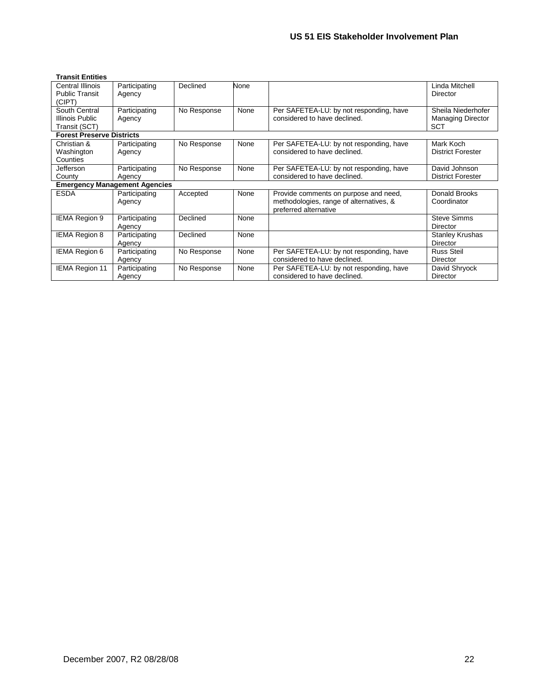| <b>Transit Entities</b>          |                                      |             |      |                                         |                          |
|----------------------------------|--------------------------------------|-------------|------|-----------------------------------------|--------------------------|
| <b>Central Illinois</b>          | Participating                        | Declined    | None |                                         | Linda Mitchell           |
| <b>Public Transit</b>            | Agency                               |             |      |                                         | Director                 |
| (CIPT)                           |                                      |             |      |                                         |                          |
| South Central                    | Participating                        | No Response | None | Per SAFETEA-LU: by not responding, have | Sheila Niederhofer       |
| Illinois Public                  | Agency                               |             |      | considered to have declined.            | <b>Managing Director</b> |
| Transit (SCT)                    |                                      |             |      |                                         | <b>SCT</b>               |
| <b>Forest Preserve Districts</b> |                                      |             |      |                                         |                          |
| Christian &                      | Participating                        | No Response | None | Per SAFETEA-LU: by not responding, have | Mark Koch                |
| Washington                       | Agency                               |             |      | considered to have declined.            | <b>District Forester</b> |
| Counties                         |                                      |             |      |                                         |                          |
| Jefferson                        | Participating                        | No Response | None | Per SAFETEA-LU: by not responding, have | David Johnson            |
| County                           | Agency                               |             |      | considered to have declined.            | <b>District Forester</b> |
|                                  | <b>Emergency Management Agencies</b> |             |      |                                         |                          |
| <b>ESDA</b>                      | Participating                        | Accepted    | None | Provide comments on purpose and need,   | Donald Brooks            |
|                                  | Agency                               |             |      | methodologies, range of alternatives, & | Coordinator              |
|                                  |                                      |             |      | preferred alternative                   |                          |
| <b>IEMA Region 9</b>             | Participating                        | Declined    | None |                                         | <b>Steve Simms</b>       |
|                                  | Agency                               |             |      |                                         | Director                 |
| <b>IEMA Region 8</b>             | Participating                        | Declined    | None |                                         | <b>Stanley Krushas</b>   |
|                                  | Agency                               |             |      |                                         | <b>Director</b>          |
| <b>IEMA Region 6</b>             | Participating                        | No Response | None | Per SAFETEA-LU: by not responding, have | <b>Russ Steil</b>        |
|                                  | Agency                               |             |      | considered to have declined.            | Director                 |
| <b>IEMA Region 11</b>            | Participating                        | No Response | None | Per SAFETEA-LU: by not responding, have | David Shryock            |
|                                  | Agency                               |             |      | considered to have declined.            | <b>Director</b>          |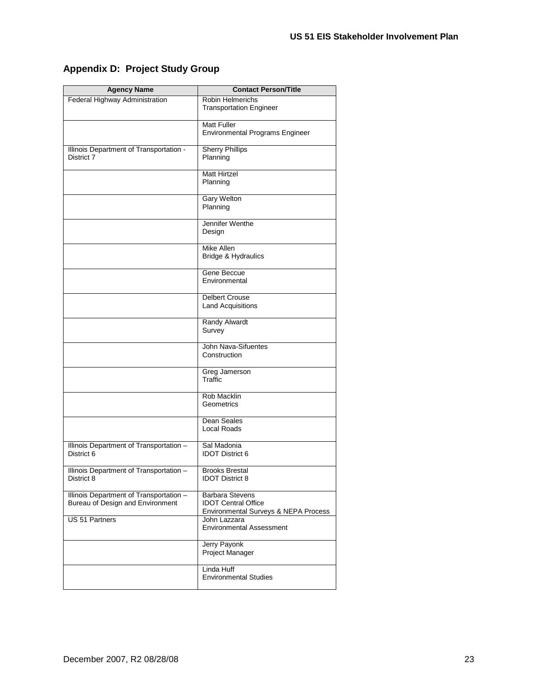| <b>Agency Name</b>                                                          | <b>Contact Person/Title</b>                                                                  |
|-----------------------------------------------------------------------------|----------------------------------------------------------------------------------------------|
| Federal Highway Administration                                              | <b>Robin Helmerichs</b><br><b>Transportation Engineer</b>                                    |
|                                                                             | <b>Matt Fuller</b><br><b>Environmental Programs Engineer</b>                                 |
| Illinois Department of Transportation -<br>District 7                       | <b>Sherry Phillips</b><br>Planning                                                           |
|                                                                             | <b>Matt Hirtzel</b><br>Planning                                                              |
|                                                                             | Gary Welton<br>Planning                                                                      |
|                                                                             | Jennifer Wenthe<br>Design                                                                    |
|                                                                             | Mike Allen<br>Bridge & Hydraulics                                                            |
|                                                                             | Gene Beccue<br>Environmental                                                                 |
|                                                                             | <b>Delbert Crouse</b><br><b>Land Acquisitions</b>                                            |
|                                                                             | <b>Randy Alwardt</b><br>Survey                                                               |
|                                                                             | John Nava-Sifuentes<br>Construction                                                          |
|                                                                             | Greg Jamerson<br>Traffic                                                                     |
|                                                                             | Rob Macklin<br>Geometrics                                                                    |
|                                                                             | Dean Seales<br>Local Roads                                                                   |
| Illinois Department of Transportation -<br>District 6                       | Sal Madonia<br><b>IDOT District 6</b>                                                        |
| Illinois Department of Transportation -<br>District 8                       | <b>Brooks Brestal</b><br><b>IDOT District 8</b>                                              |
| Illinois Department of Transportation -<br>Bureau of Design and Environment | <b>Barbara Stevens</b><br><b>IDOT Central Office</b><br>Environmental Surveys & NEPA Process |
| US 51 Partners                                                              | John Lazzara<br><b>Environmental Assessment</b>                                              |
|                                                                             | Jerry Payonk<br>Project Manager                                                              |
|                                                                             | Linda Huff<br><b>Environmental Studies</b>                                                   |

### <span id="page-25-0"></span>**Appendix D: Project Study Group**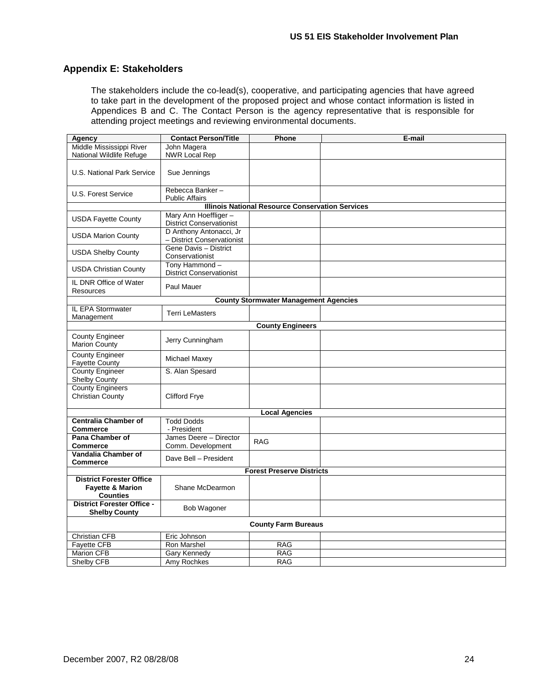### <span id="page-26-0"></span>**Appendix E: Stakeholders**

The stakeholders include the co-lead(s), cooperative, and participating agencies that have agreed to take part in the development of the proposed project and whose contact information is listed in Appendices B and C. The Contact Person is the agency representative that is responsible for attending project meetings and reviewing environmental documents.

| Agency                                                                            | <b>Contact Person/Title</b>                           | Phone                                                   | E-mail |
|-----------------------------------------------------------------------------------|-------------------------------------------------------|---------------------------------------------------------|--------|
| Middle Mississippi River                                                          | John Magera                                           |                                                         |        |
| National Wildlife Refuge                                                          | <b>NWR Local Rep</b>                                  |                                                         |        |
| U.S. National Park Service                                                        | Sue Jennings                                          |                                                         |        |
| U.S. Forest Service                                                               | Rebecca Banker-<br><b>Public Affairs</b>              |                                                         |        |
|                                                                                   |                                                       | <b>Illinois National Resource Conservation Services</b> |        |
|                                                                                   | Mary Ann Hoeffliger-                                  |                                                         |        |
| <b>USDA Fayette County</b>                                                        | <b>District Conservationist</b>                       |                                                         |        |
| <b>USDA Marion County</b>                                                         | D Anthony Antonacci, Jr<br>- District Conservationist |                                                         |        |
| <b>USDA Shelby County</b>                                                         | Gene Davis - District<br>Conservationist              |                                                         |        |
| <b>USDA Christian County</b>                                                      | Tony Hammond-<br><b>District Conservationist</b>      |                                                         |        |
| IL DNR Office of Water<br><b>Resources</b>                                        | Paul Mauer                                            |                                                         |        |
|                                                                                   |                                                       | <b>County Stormwater Management Agencies</b>            |        |
| <b>IL EPA Stormwater</b><br>Management                                            | <b>Terri LeMasters</b>                                |                                                         |        |
|                                                                                   |                                                       | <b>County Engineers</b>                                 |        |
| <b>County Engineer</b><br>Marion County                                           | Jerry Cunningham                                      |                                                         |        |
| <b>County Engineer</b><br><b>Fayette County</b>                                   | Michael Maxey                                         |                                                         |        |
| County Engineer<br>Shelby County                                                  | S. Alan Spesard                                       |                                                         |        |
| <b>County Engineers</b><br>Christian County                                       | <b>Clifford Frye</b>                                  |                                                         |        |
|                                                                                   |                                                       | <b>Local Agencies</b>                                   |        |
| <b>Centralia Chamber of</b>                                                       | <b>Todd Dodds</b>                                     |                                                         |        |
| Commerce                                                                          | - President                                           |                                                         |        |
| Pana Chamber of                                                                   | James Deere - Director                                | <b>RAG</b>                                              |        |
| <b>Commerce</b>                                                                   | Comm. Development                                     |                                                         |        |
| Vandalia Chamber of                                                               | Dave Bell - President                                 |                                                         |        |
| <b>Commerce</b>                                                                   |                                                       |                                                         |        |
|                                                                                   |                                                       | <b>Forest Preserve Districts</b>                        |        |
| <b>District Forester Office</b><br><b>Fayette &amp; Marion</b><br><b>Counties</b> | Shane McDearmon                                       |                                                         |        |
| <b>District Forester Office -</b><br><b>Shelby County</b>                         | Bob Wagoner                                           |                                                         |        |
|                                                                                   |                                                       | <b>County Farm Bureaus</b>                              |        |
| <b>Christian CFB</b>                                                              | Eric Johnson                                          |                                                         |        |
| <b>Fayette CFB</b>                                                                | Ron Marshel                                           | <b>RAG</b>                                              |        |
| <b>Marion CFB</b>                                                                 | Gary Kennedy                                          | <b>RAG</b>                                              |        |
| <b>Shelby CFB</b>                                                                 | Amy Rochkes                                           | <b>RAG</b>                                              |        |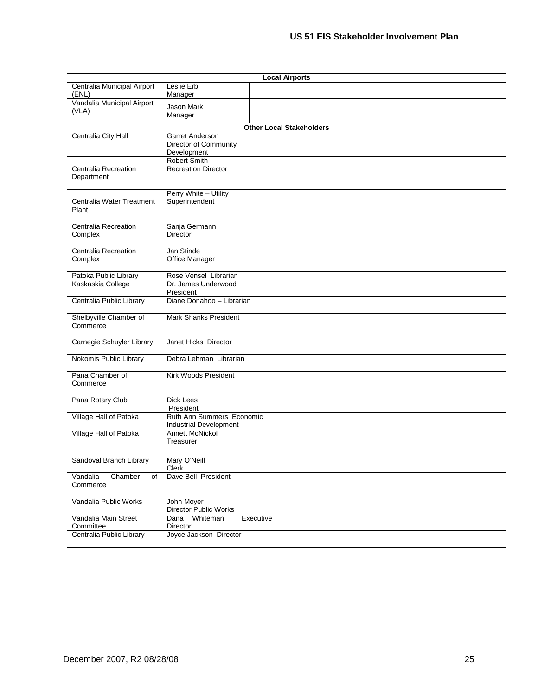| <b>Local Airports</b>                  |                                                            |                                 |  |  |  |  |  |  |
|----------------------------------------|------------------------------------------------------------|---------------------------------|--|--|--|--|--|--|
| Centralia Municipal Airport<br>(ENL)   | Leslie Erb<br>Manager                                      |                                 |  |  |  |  |  |  |
| Vandalia Municipal Airport<br>(VLA)    | <b>Jason Mark</b><br>Manager                               |                                 |  |  |  |  |  |  |
|                                        |                                                            | <b>Other Local Stakeholders</b> |  |  |  |  |  |  |
| Centralia City Hall                    | Garret Anderson<br>Director of Community<br>Development    |                                 |  |  |  |  |  |  |
| Centralia Recreation<br>Department     | <b>Robert Smith</b><br><b>Recreation Director</b>          |                                 |  |  |  |  |  |  |
| Centralia Water Treatment<br>Plant     | Perry White - Utility<br>Superintendent                    |                                 |  |  |  |  |  |  |
| Centralia Recreation<br>Complex        | Sanja Germann<br>Director                                  |                                 |  |  |  |  |  |  |
| <b>Centralia Recreation</b><br>Complex | Jan Stinde<br>Office Manager                               |                                 |  |  |  |  |  |  |
| Patoka Public Library                  | Rose Vensel Librarian                                      |                                 |  |  |  |  |  |  |
| Kaskaskia College                      | Dr. James Underwood<br>President                           |                                 |  |  |  |  |  |  |
| Centralia Public Library               | Diane Donahoo - Librarian                                  |                                 |  |  |  |  |  |  |
| Shelbyville Chamber of<br>Commerce     | <b>Mark Shanks President</b>                               |                                 |  |  |  |  |  |  |
| Carnegie Schuyler Library              | Janet Hicks Director                                       |                                 |  |  |  |  |  |  |
| Nokomis Public Library                 | Debra Lehman Librarian                                     |                                 |  |  |  |  |  |  |
| Pana Chamber of<br>Commerce            | Kirk Woods President                                       |                                 |  |  |  |  |  |  |
| Pana Rotary Club                       | Dick Lees<br>President                                     |                                 |  |  |  |  |  |  |
| Village Hall of Patoka                 | Ruth Ann Summers Economic<br><b>Industrial Development</b> |                                 |  |  |  |  |  |  |
| Village Hall of Patoka                 | <b>Annett McNickol</b><br>Treasurer                        |                                 |  |  |  |  |  |  |
| Sandoval Branch Library                | Mary O'Neill<br>Clerk                                      |                                 |  |  |  |  |  |  |
| Vandalia<br>Chamber<br>of<br>Commerce  | Dave Bell President                                        |                                 |  |  |  |  |  |  |
| Vandalia Public Works                  | John Moyer<br>Director Public Works                        |                                 |  |  |  |  |  |  |
| Vandalia Main Street<br>Committee      | Dana Whiteman<br>Executive<br>Director                     |                                 |  |  |  |  |  |  |
| Centralia Public Library               | Joyce Jackson Director                                     |                                 |  |  |  |  |  |  |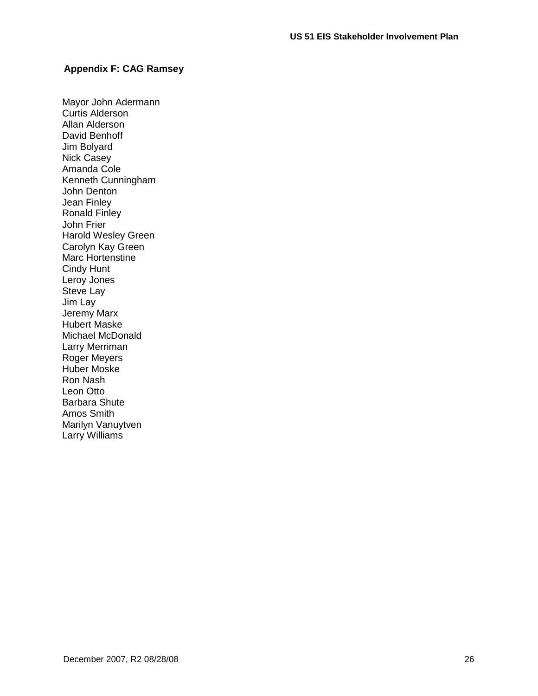### <span id="page-28-0"></span>**Appendix F: CAG Ramsey**

Mayor John Adermann Curtis Alderson Allan Alderson David Benhoff Jim Bolyard Nick Casey Amanda Cole Kenneth Cunningham John Denton Jean Finley Ronald Finley John Frier Harold Wesley Green Carolyn Kay Green Marc Hortenstine Cindy Hunt Leroy Jones Steve Lay Jim Lay Jeremy Marx Hubert Maske Michael McDonald Larry Merriman Roger Meyers Huber Moske Ron Nash Leon Otto Barbara Shute Amos Smith Marilyn Vanuytven Larry Williams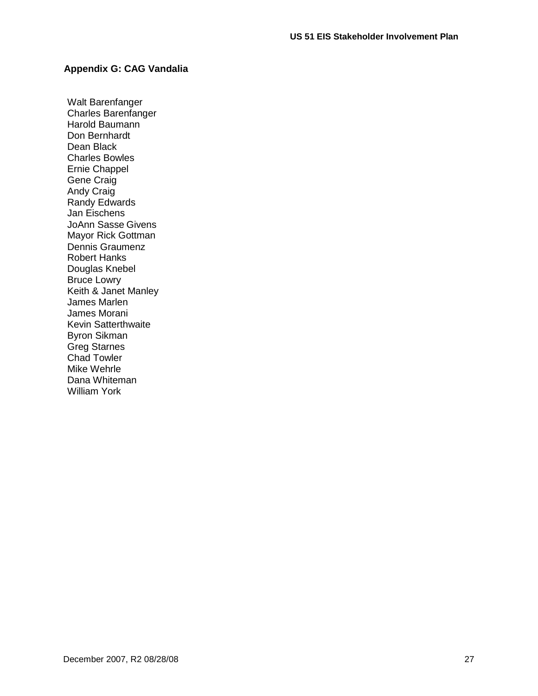### <span id="page-29-0"></span>**Appendix G: CAG Vandalia**

Walt Barenfanger Charles Barenfanger Harold Baumann Don Bernhardt Dean Black Charles Bowles Ernie Chappel Gene Craig Andy Craig Randy Edwards Jan Eischens JoAnn Sasse Givens Mayor Rick Gottman Dennis Graumenz Robert Hanks Douglas Knebel Bruce Lowry Keith & Janet Manley James Marlen James Morani Kevin Satterthwaite Byron Sikman Greg Starnes Chad Towler Mike Wehrle Dana Whiteman William York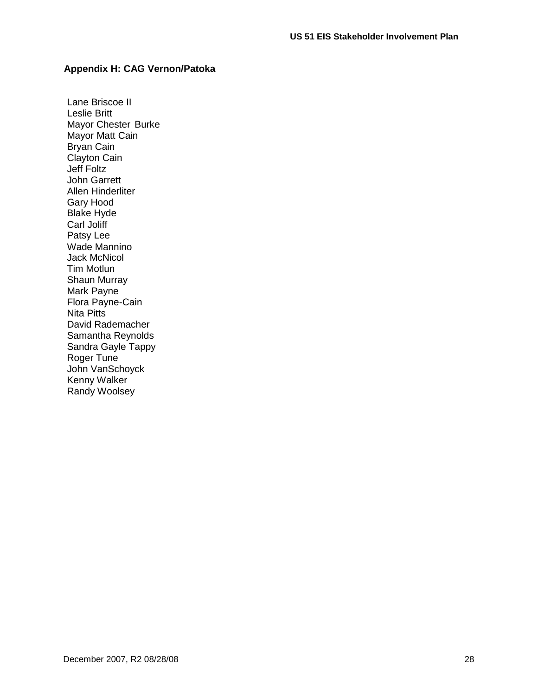### <span id="page-30-1"></span><span id="page-30-0"></span>**Appendix H: CAG Vernon/Patoka**

Lane Briscoe II Leslie Britt Mayor Chester Burke Mayor Matt Cain Bryan Cain Clayton Cain Jeff Foltz John Garrett Allen Hinderliter Gary Hood Blake Hyde Carl Joliff Patsy Lee Wade Mannino Jack McNicol Tim Motlun Shaun Murray Mark Payne Flora Payne-Cain Nita Pitts David Rademacher Samantha Reynolds Sandra Gayle Tappy Roger Tune John VanSchoyck Kenny Walker Randy Woolsey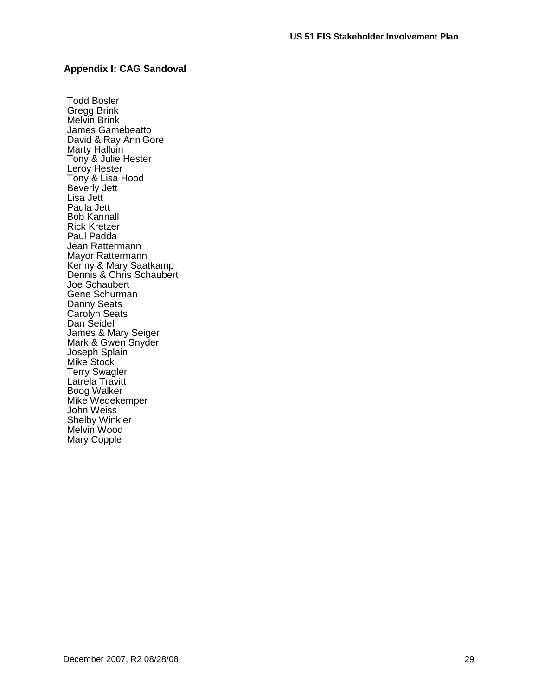#### <span id="page-31-0"></span>**Appendix I: CAG Sandoval**

Todd Bosler Gregg Brink Melvin Brink James Gamebeatto David & Ray Ann Gore Marty Halluin Tony & Julie Hester Leroy Hester Tony & Lisa Hood Beverly Jett Lisa Jett Paula Jett Bob Kannall Rick Kretzer Paul Padda Jean Rattermann Mayor Rattermann Kenny & Mary Saatkamp Dennis & Chris Schaubert Joe Schaubert Gene Schurman Danny Seats Carolyn Seats Dan Seidel James & Mary Seiger Mark & Gwen Snyder Joseph Splain Mike Stock Terry Swagler Latrela Travitt Boog Walker Mike Wedekemper John Weiss Shelby Winkler Melvin Wood Mary Copple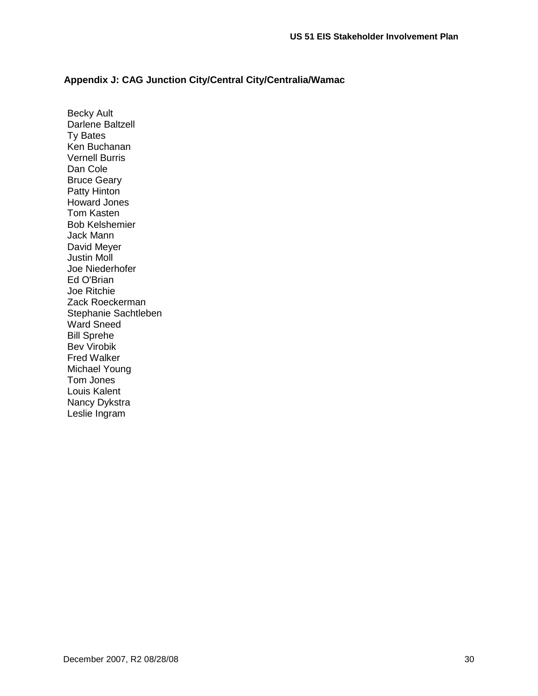### <span id="page-32-0"></span>**Appendix J: CAG Junction City/Central City/Centralia/Wamac**

Becky Ault Darlene Baltzell Ty Bates Ken Buchanan Vernell Burris Dan Cole Bruce Geary Patty Hinton Howard Jones Tom Kasten Bob Kelshemier Jack Mann David Meyer Justin Moll Joe Niederhofer Ed O'Brian Joe Ritchie Zack Roeckerman Stephanie Sachtleben Ward Sneed Bill Sprehe Bev Virobik Fred Walker Michael Young Tom Jones Louis Kalent Nancy Dykstra Leslie Ingram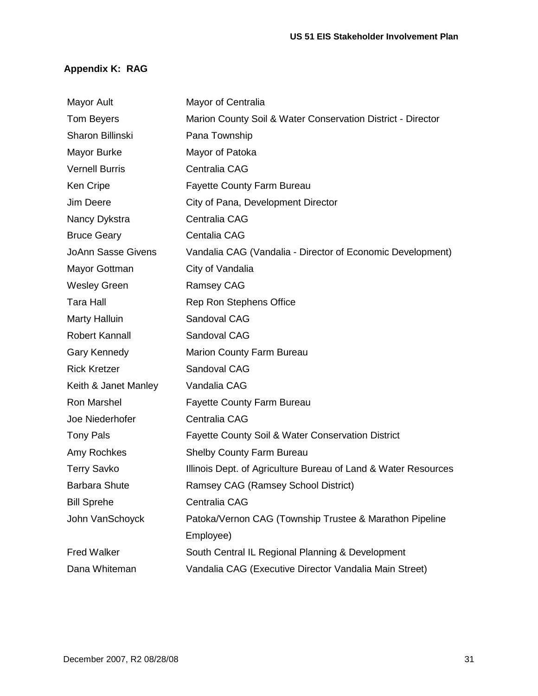### <span id="page-33-0"></span>**Appendix K: RAG**

| <b>Mayor Ault</b>         | Mayor of Centralia                                             |
|---------------------------|----------------------------------------------------------------|
| Tom Beyers                | Marion County Soil & Water Conservation District - Director    |
| Sharon Billinski          | Pana Township                                                  |
| Mayor Burke               | Mayor of Patoka                                                |
| <b>Vernell Burris</b>     | Centralia CAG                                                  |
| <b>Ken Cripe</b>          | <b>Fayette County Farm Bureau</b>                              |
| Jim Deere                 | City of Pana, Development Director                             |
| Nancy Dykstra             | Centralia CAG                                                  |
| <b>Bruce Geary</b>        | <b>Centalia CAG</b>                                            |
| <b>JoAnn Sasse Givens</b> | Vandalia CAG (Vandalia - Director of Economic Development)     |
| Mayor Gottman             | City of Vandalia                                               |
| <b>Wesley Green</b>       | <b>Ramsey CAG</b>                                              |
| <b>Tara Hall</b>          | Rep Ron Stephens Office                                        |
| <b>Marty Halluin</b>      | Sandoval CAG                                                   |
| <b>Robert Kannall</b>     | Sandoval CAG                                                   |
| Gary Kennedy              | <b>Marion County Farm Bureau</b>                               |
| <b>Rick Kretzer</b>       | Sandoval CAG                                                   |
| Keith & Janet Manley      | Vandalia CAG                                                   |
| Ron Marshel               | <b>Fayette County Farm Bureau</b>                              |
| Joe Niederhofer           | Centralia CAG                                                  |
| <b>Tony Pals</b>          | <b>Fayette County Soil &amp; Water Conservation District</b>   |
| Amy Rochkes               | <b>Shelby County Farm Bureau</b>                               |
| <b>Terry Savko</b>        | Illinois Dept. of Agriculture Bureau of Land & Water Resources |
| <b>Barbara Shute</b>      | Ramsey CAG (Ramsey School District)                            |
| <b>Bill Sprehe</b>        | Centralia CAG                                                  |
| John VanSchoyck           | Patoka/Vernon CAG (Township Trustee & Marathon Pipeline        |
|                           | Employee)                                                      |
| <b>Fred Walker</b>        | South Central IL Regional Planning & Development               |
| Dana Whiteman             | Vandalia CAG (Executive Director Vandalia Main Street)         |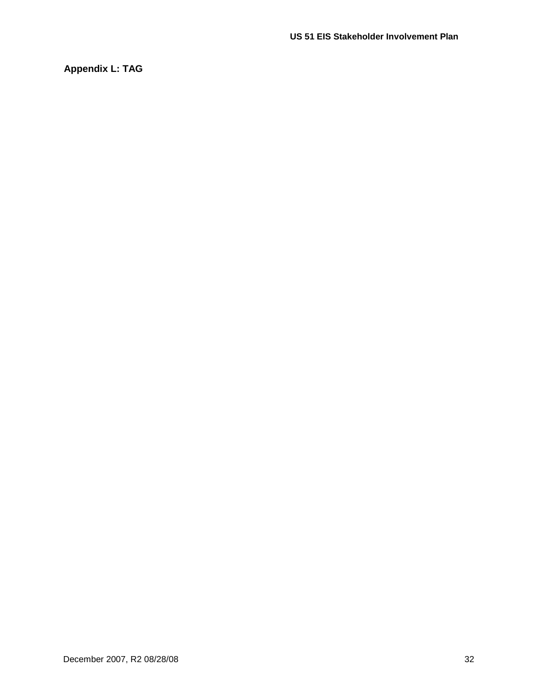<span id="page-34-0"></span>**Appendix L: TAG**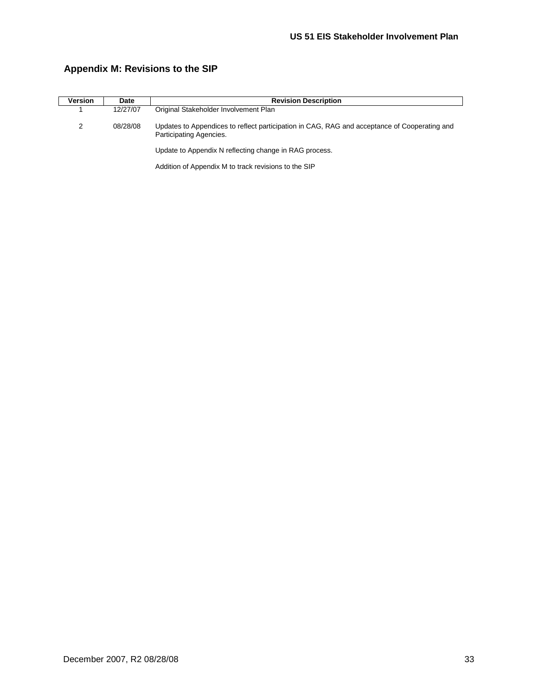| <b>Version</b> | Date     | <b>Revision Description</b>                                                                                             |  |  |  |  |  |
|----------------|----------|-------------------------------------------------------------------------------------------------------------------------|--|--|--|--|--|
|                | 12/27/07 | Original Stakeholder Involvement Plan                                                                                   |  |  |  |  |  |
| 2              | 08/28/08 | Updates to Appendices to reflect participation in CAG, RAG and acceptance of Cooperating and<br>Participating Agencies. |  |  |  |  |  |
|                |          | Update to Appendix N reflecting change in RAG process.                                                                  |  |  |  |  |  |
|                |          | Addition of Appendix M to track revisions to the SIP                                                                    |  |  |  |  |  |

### <span id="page-35-0"></span>**Appendix M: Revisions to the SIP**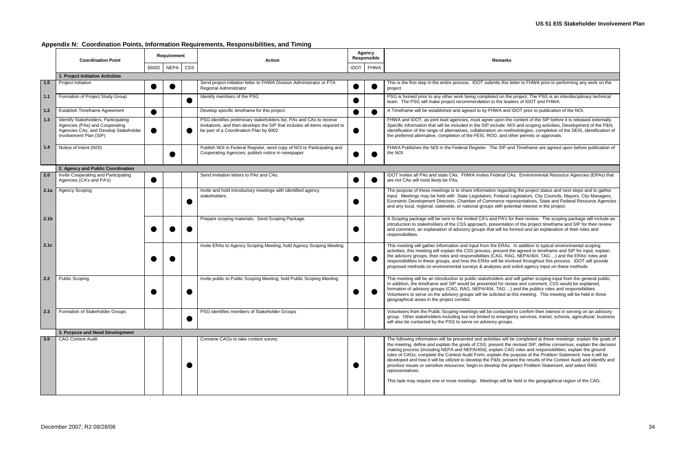### <span id="page-36-0"></span>**Appendix N: Coordination Points, Information Requirements, Responsibilities, and Timing**

|                  | <b>Coordination Point</b>                                                                                                                 |  | Requirement          |            | <b>Action</b>                                                                                                                                                                                | Agency<br>Responsible |                  | <b>Remarks</b>                                                                                                                                                                                                                                                                                                                                                                                                                                                                                                                                                                                                                                                                                                                                                                                                                          |
|------------------|-------------------------------------------------------------------------------------------------------------------------------------------|--|----------------------|------------|----------------------------------------------------------------------------------------------------------------------------------------------------------------------------------------------|-----------------------|------------------|-----------------------------------------------------------------------------------------------------------------------------------------------------------------------------------------------------------------------------------------------------------------------------------------------------------------------------------------------------------------------------------------------------------------------------------------------------------------------------------------------------------------------------------------------------------------------------------------------------------------------------------------------------------------------------------------------------------------------------------------------------------------------------------------------------------------------------------------|
|                  |                                                                                                                                           |  | §6002<br><b>NEPA</b> | <b>CSS</b> |                                                                                                                                                                                              |                       | <b>IDOT</b> FHWA |                                                                                                                                                                                                                                                                                                                                                                                                                                                                                                                                                                                                                                                                                                                                                                                                                                         |
|                  | 1. Project Initiation Activities                                                                                                          |  |                      |            |                                                                                                                                                                                              |                       |                  |                                                                                                                                                                                                                                                                                                                                                                                                                                                                                                                                                                                                                                                                                                                                                                                                                                         |
| 1.0              | <b>Project Initiation</b>                                                                                                                 |  |                      |            | Send project initiation letter to FHWA Division Administrator or FTA<br>Regional Administrator                                                                                               |                       |                  | This is the first step in the entire process. IDOT submits this letter to FHWA prior to performing any work on the<br>project.                                                                                                                                                                                                                                                                                                                                                                                                                                                                                                                                                                                                                                                                                                          |
| 1.1              | Formation of Project Study Group                                                                                                          |  |                      |            | Identify members of the PSG                                                                                                                                                                  |                       |                  | PSG is formed prior to any other work being completed on the project. The PSG is an interdisciplinary technical<br>team. The PSG will make project recommendation to the leaders of IDOT and FHWA.                                                                                                                                                                                                                                                                                                                                                                                                                                                                                                                                                                                                                                      |
| 1.2              | Establish Timeframe Agreement                                                                                                             |  |                      |            | Develop specific timeframe for this project                                                                                                                                                  |                       |                  | A Timeframe will be established and agreed to by FHWA and IDOT prior to publication of the NOI.                                                                                                                                                                                                                                                                                                                                                                                                                                                                                                                                                                                                                                                                                                                                         |
| 1.3              | Identify Stakeholders, Participating<br>Agencies (PAs) and Cooperating<br>Agencies CAs, and Develop Stakeholder<br>Involvement Plan (SIP) |  |                      |            | PSG identifies preliminary stakeholders list, PAs and CAs to receive<br>invitations, and then develops the SIP that includes all items required to<br>be part of a Coordination Plan by 6002 |                       |                  | FHWA and IDOT, as joint lead agencies, must agree upon the content of the SIP before it is released externally.<br>Specific information that will be included in the SIP include: NOI and scoping activities, Development of the P&N,<br>identification of the range of alternatives, collaboration on methodologies, completion of the DEIS, identification of<br>the preferred alternative, completion of the FEIS, ROD, and other permits or approvals.                                                                                                                                                                                                                                                                                                                                                                              |
| 1.4              | Notice of Intent (NOI)                                                                                                                    |  |                      |            | Publish NOI in Federal Register, send copy of NOI to Participating and<br>Cooperating Agencies; publish notice in newspaper                                                                  |                       |                  | FHWA Publishes the NOI in the Federal Register. The SIP and Timeframe are agreed upon before publication of<br>the NOI.                                                                                                                                                                                                                                                                                                                                                                                                                                                                                                                                                                                                                                                                                                                 |
|                  | 2. Agency and Public Coordination                                                                                                         |  |                      |            |                                                                                                                                                                                              |                       |                  |                                                                                                                                                                                                                                                                                                                                                                                                                                                                                                                                                                                                                                                                                                                                                                                                                                         |
| $2.0$            | Invite Cooperating and Participating<br>Agencies (CA's and PA's)                                                                          |  |                      |            | Send invitation letters to PAs and CAs.                                                                                                                                                      |                       |                  | IDOT invites all PAs and state CAs. FHWA invites Federal CAs. Environmental Resource Agencies (ERAs) that<br>are not CAs will most likely be PAs.                                                                                                                                                                                                                                                                                                                                                                                                                                                                                                                                                                                                                                                                                       |
|                  | 2.1a Agency Scoping                                                                                                                       |  |                      |            | Invite and hold introductory meetings with identified agency<br>stakeholders.                                                                                                                |                       |                  | The purpose of these meetings is to share information regarding the project status and next steps and to gather<br>input. Meetings may be held with State Legislators, Federal Legislators, City Councils, Mayors, City Managers,<br>Economic Development Directors, Chamber of Commerce representatives, State and Federal Resource Agencies<br>and any local, regional, statewide, or national groups with potential interest in the project.                                                                                                                                                                                                                                                                                                                                                                                         |
| 2.1 <sub>b</sub> |                                                                                                                                           |  |                      |            | Prepare scoping materials. Send Scoping Package.                                                                                                                                             |                       |                  | A Scoping package will be sent to the invited CA's and PA's for their review. The scoping package will include an<br>introduction to stakeholders of the CSS approach, presentation of the project timeframe and SIP for their review<br>and comment, an explanation of advisory groups that will be formed and an explanation of their roles and<br>responsibilities.                                                                                                                                                                                                                                                                                                                                                                                                                                                                  |
| 2.1c             |                                                                                                                                           |  |                      |            | Invite ERAs to Agency Scoping Meeting; hold Agency Scoping Meeting                                                                                                                           |                       |                  | This meeting will gather information and input from the ERAs. In addition to typical environmental scoping<br>activities, this meeting will explain the CSS process, present the agreed to timeframe and SIP for input, explain<br>the advisory groups, their roles and responsibilities (CAG, RAG, NEPA/404, TAG ) and the ERAs' roles and<br>responsibilities in these groups, and how the ERAs will be involved throughout this process. IDOT will provide<br>proposed methods on environmental surveys & analyses and solicit agency input on these methods.                                                                                                                                                                                                                                                                        |
| 2.2              | <b>Public Scoping</b>                                                                                                                     |  |                      |            | Invite public to Public Scoping Meeting; hold Public Scoping Meeting                                                                                                                         |                       |                  | This meeting will be an introduction to public stakeholders and will gather scoping input from the general public.<br>In addition, the timeframe and SIP would be presented for review and comment, CSS would be explained,<br>formation of advisory groups (CAG, RAG, NEPA/404, TAG ) and the publics roles and responsibilities.<br>Volunteers to serve on the advisory groups will be solicited at this meeting. This meeting will be held in three<br>geographical areas in the project corridor.                                                                                                                                                                                                                                                                                                                                   |
| 2.3              | Formation of Stakeholder Groups                                                                                                           |  |                      |            | PSG identifies members of Stakeholder Groups                                                                                                                                                 |                       |                  | Volunteers from the Public Scoping meetings will be contacted to confirm their interest in serving on an advisory<br>group. Other stakeholders including but not limited to emergency services, transit, schools, agricultural, business<br>will also be contacted by the PSG to serve on advisory groups.                                                                                                                                                                                                                                                                                                                                                                                                                                                                                                                              |
|                  | 3. Purpose and Need Development                                                                                                           |  |                      |            |                                                                                                                                                                                              |                       |                  |                                                                                                                                                                                                                                                                                                                                                                                                                                                                                                                                                                                                                                                                                                                                                                                                                                         |
| 3.0              | <b>CAG Context Audit</b>                                                                                                                  |  |                      |            | Convene CAGs to take context survey.                                                                                                                                                         |                       |                  | The following information will be presented and activities will be completed at these meetings: explain the goals of<br>the meeting; define and explain the goals of CSS; present the revised SIP; define consensus; explain the decision<br>making process (including NEPA and NEPA/404); explain CAG roles and responsibilities; explain the ground<br>rules of CAGs; complete the Context Audit Form; explain the purpose of the Problem Statement; how it will be<br>developed and how it will be utilized to develop the P&N present the results of the Context Audit and identify and<br>prioritize issues or sensitive resources; begin to develop the project Problem Statement, and select RAG<br>representatives.<br>This task may require one or more meetings. Meetings will be held in the geographical region of the CAG. |
|                  |                                                                                                                                           |  |                      |            |                                                                                                                                                                                              |                       |                  |                                                                                                                                                                                                                                                                                                                                                                                                                                                                                                                                                                                                                                                                                                                                                                                                                                         |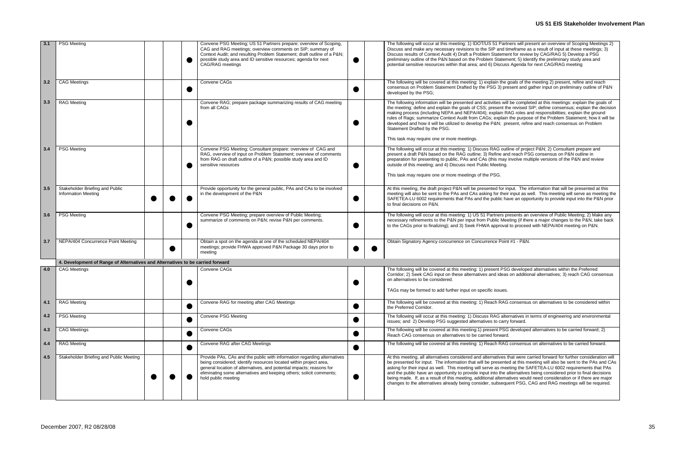| rs will present an overview of Scoping Meetings 2)<br>eframe as a result of input at these meetings; 3)<br>for review by CAG/RAG 5) Develop a PSG<br>nt; 5) Identify the preliminary study area and<br>Agenda for next CAG/RAG meeting                                                                                        |
|-------------------------------------------------------------------------------------------------------------------------------------------------------------------------------------------------------------------------------------------------------------------------------------------------------------------------------|
| als of the meeting 2) present, refine and reach<br>ent and gather input on preliminary outline of P&N                                                                                                                                                                                                                         |
| e completed at this meetings: explain the goals of<br>revised SIP; define consensus; explain the decision<br>3 roles and responsibilities; explain the ground<br>e purpose of the Problem Statement; how it will be<br>ent, refine and reach consensus on Problem                                                             |
| e of project P&N 2) Consultant prepare and<br>reach PSG consensus on P&N outline in<br>volve multiple versions of the P&N and review                                                                                                                                                                                          |
| ut. The information that will be presented at this<br>iput as well. This meeting will serve as meeting the<br>an opportunity to provide input into the P&N prior                                                                                                                                                              |
| sents an overview of Public Meeting; 2) Make any<br>ng (if there a major changes to the P&N, take back<br>proceed with NEPA/404 meeting on P&N.                                                                                                                                                                               |
| 1 - P&N.                                                                                                                                                                                                                                                                                                                      |
|                                                                                                                                                                                                                                                                                                                               |
| developed alternatives within the Preferred<br>n additional alternatives; 3) reach CAG consensus                                                                                                                                                                                                                              |
| onsensus on alternatives to be considered within                                                                                                                                                                                                                                                                              |
| atives in terms of engineering and environmental<br>orward.                                                                                                                                                                                                                                                                   |
| leveloped alternatives to be carried forward; 2)                                                                                                                                                                                                                                                                              |
| onsensus on alternatives to be carried forward.                                                                                                                                                                                                                                                                               |
| at were carried forward for further consideration will<br>at this meeting will also be sent to the PAs and CAs<br>ng the SAFETEA-LU 6002 requirements that PAs<br>ernatives being considered prior to final decisions<br>ves would need consideration or if there are major<br>nt PSG, CAG and RAG meetings will be required. |
|                                                                                                                                                                                                                                                                                                                               |

| 3.1 | <b>PSG Meeting</b>                                                             |  | Convene PSG Meeting; US 51 Partners prepare: overview of Scoping,<br>CAG and RAG meetings; overview comments on SIP; summary of<br>Context Audit; and resulting Problem Statement; draft outline of a P&N<br>possible study area and ID sensitive resources; agenda for next<br>CAG/RAG meetings                   |  | The following will occur at this meeting: 1) IDOT/US 51 Partners will present an overview of Scoping Meetings 2)<br>Discuss and make any necessary revisions to the SIP and timeframe as a result of input at these meetings; 3)<br>Discuss results of Context Audit 4) Draft a Problem Statement for review by CAG/RAG 5) Develop a PSG<br>preliminary outline of the P&N based on the Problem Statement; 5) Identify the preliminary study area and<br>potential sensitive resources within that area; and 6) Discuss Agenda for next CAG/RAG meeting                                                                                                                                                                   |
|-----|--------------------------------------------------------------------------------|--|--------------------------------------------------------------------------------------------------------------------------------------------------------------------------------------------------------------------------------------------------------------------------------------------------------------------|--|---------------------------------------------------------------------------------------------------------------------------------------------------------------------------------------------------------------------------------------------------------------------------------------------------------------------------------------------------------------------------------------------------------------------------------------------------------------------------------------------------------------------------------------------------------------------------------------------------------------------------------------------------------------------------------------------------------------------------|
| 3.2 | <b>CAG Meetings</b>                                                            |  | Convene CAGs                                                                                                                                                                                                                                                                                                       |  | The following will be covered at this meeting: 1) explain the goals of the meeting 2) present, refine and reach<br>consensus on Problem Statement Drafted by the PSG 3) present and gather input on preliminary outline of P&N<br>developed by the PSG;                                                                                                                                                                                                                                                                                                                                                                                                                                                                   |
| 3.3 | <b>RAG Meeting</b>                                                             |  | Convene RAG; prepare package summarizing results of CAG meeting<br>from all CAGs                                                                                                                                                                                                                                   |  | The following information will be presented and activities will be completed at this meetings: explain the goals of<br>the meeting; define and explain the goals of CSS; present the revised SIP; define consensus; explain the decision<br>making process (including NEPA and NEPA/404); explain RAG roles and responsibilities; explain the ground<br>rules of Rags; summarize Context Audit from CAGs; explain the purpose of the Problem Statement; how it will be<br>developed and how it will be utilized to develop the P&N present, refine and reach consensus on Problem<br>Statement Drafted by the PSG.<br>This task may require one or more meetings.                                                         |
| 3.4 | <b>PSG Meeting</b>                                                             |  | Convene PSG Meeting; Consultant prepare: overview of CAG and<br>RAG, overview of input on Problem Statement; overview of comments<br>from RAG on draft outline of a P&N possible study area and ID<br>sensitive resources                                                                                          |  | The following will occur at this meeting: 1) Discuss RAG outline of project P&N 2) Consultant prepare and<br>present a draft P&N based on the RAG outline; 3) Refine and reach PSG consensus on P&N outline in<br>preparation for presenting to public, PAs and CAs (this may involve multiple versions of the P&N and review<br>outside of this meeting; and 4) Discuss next Public Meeting.<br>This task may require one or more meetings of the PSG.                                                                                                                                                                                                                                                                   |
| 3.5 | Stakeholder Briefing and Public<br><b>Information Meeting</b>                  |  | Provide opportunity for the general public, PAs and CAs to be involved<br>in the development of the P&N                                                                                                                                                                                                            |  | At this meeting, the draft project P&N will be presented for input. The information that will be presented at this<br>meeting will also be sent to the PAs and CAs asking for their input as well. This meeting will serve as meeting the<br>SAFETEA-LU 6002 requirements that PAs and the public have an opportunity to provide input into the P&N prior<br>to final decisions on P&N.                                                                                                                                                                                                                                                                                                                                   |
| 3.6 | <b>PSG Meeting</b>                                                             |  | Convene PSG Meeting; prepare overview of Public Meeting;<br>summarize of comments on P&N revise P&N per comments.                                                                                                                                                                                                  |  | The following will occur at this meeting: 1) US 51 Partners presents an overview of Public Meeting; 2) Make any<br>necessary refinements to the P&N per input from Public Meeting (if there a major changes to the P&N, take back<br>to the CAGs prior to finalizing); and 3) Seek FHWA approval to proceed with NEPA/404 meeting on P&N.                                                                                                                                                                                                                                                                                                                                                                                 |
| 3.7 | NEPA/404 Concurrence Point Meeting                                             |  | Obtain a spot on the agenda at one of the scheduled NEPA/404<br>meetings; provide FHWA approved P&N Package 30 days prior to<br>meeting                                                                                                                                                                            |  | Obtain Signatory Agency concurrence on Concurrence Point #1 - P&N.                                                                                                                                                                                                                                                                                                                                                                                                                                                                                                                                                                                                                                                        |
|     | 4. Development of Range of Alternatives and Alternatives to be carried forward |  |                                                                                                                                                                                                                                                                                                                    |  |                                                                                                                                                                                                                                                                                                                                                                                                                                                                                                                                                                                                                                                                                                                           |
| 4.0 | <b>CAG Meetings</b>                                                            |  | Convene CAGs                                                                                                                                                                                                                                                                                                       |  | The following will be covered at this meeting: 1) present PSG developed alternatives within the Preferred<br>Corridor; 2) Seek CAG input on these alternatives and ideas on additional alternatives; 3) reach CAG consensus<br>on alternatives to be considered.<br>TAGs may be formed to add further input on specific issues.                                                                                                                                                                                                                                                                                                                                                                                           |
| 4.1 | <b>RAG Meeting</b>                                                             |  | Convene RAG for meeting after CAG Meetings                                                                                                                                                                                                                                                                         |  | The following will be covered at this meeting: 1) Reach RAG consensus on alternatives to be considered within<br>the Preferred Corridor.                                                                                                                                                                                                                                                                                                                                                                                                                                                                                                                                                                                  |
| 4.2 | <b>PSG Meeting</b>                                                             |  | <b>Convene PSG Meeting</b>                                                                                                                                                                                                                                                                                         |  | The following will occur at this meeting: 1) Discuss RAG alternatives in terms of engineering and environmental<br>issues; and 2) Develop PSG suggested alternatives to carry forward.                                                                                                                                                                                                                                                                                                                                                                                                                                                                                                                                    |
| 4.3 | <b>CAG Meetings</b>                                                            |  | Convene CAGs                                                                                                                                                                                                                                                                                                       |  | The following will be covered at this meeting:1) present PSG developed alternatives to be carried forward; 2)<br>Reach CAG consensus on alternatives to be carried forward.                                                                                                                                                                                                                                                                                                                                                                                                                                                                                                                                               |
| 4.4 | <b>RAG Meeting</b>                                                             |  | Convene RAG after CAG Meetings                                                                                                                                                                                                                                                                                     |  | The following will be covered at this meeting: 1) Reach RAG consensus on alternatives to be carried forward.                                                                                                                                                                                                                                                                                                                                                                                                                                                                                                                                                                                                              |
| 4.5 | Stakeholder Briefing and Public Meeting                                        |  | Provide PAs, CAs and the public with information regarding alternatives<br>being considered; identify resources located within project area,<br>general location of alternatives, and potential impacts; reasons for<br>eliminating some alternatives and keeping others; solicit comments;<br>hold public meeting |  | At this meeting, all alternatives considered and alternatives that were carried forward for further consideration will<br>be presented for input. The information that will be presented at this meeting will also be sent to the PAs and CAs<br>asking for their input as well. This meeting will serve as meeting the SAFETEA-LU 6002 requirements that PAs<br>and the public have an opportunity to provide input into the alternatives being considered prior to final decisions<br>being made. If, as a result of this meeting, additional alternatives would need consideration or if there are major<br>changes to the alternatives already being consider, subsequent PSG, CAG and RAG meetings will be required. |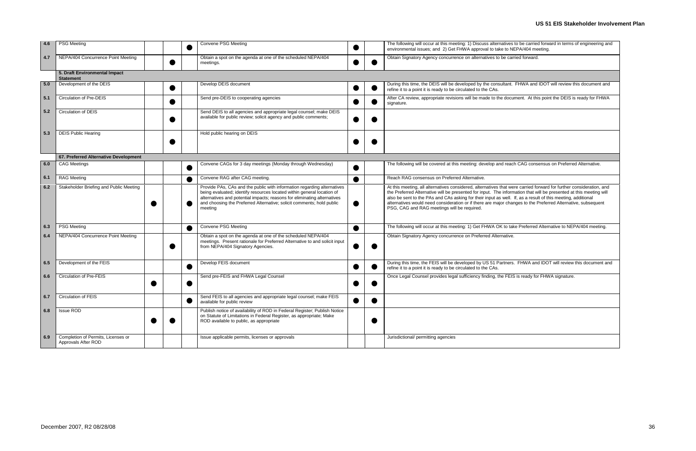### **US 51 EIS Stakeholder Involvement Plan**

| es to be carried forward in terms of engineering and<br>NEPA/404 meeting.                                                                                  |
|------------------------------------------------------------------------------------------------------------------------------------------------------------|
| carried forward.                                                                                                                                           |
|                                                                                                                                                            |
| nt. FHWA and IDOT will review this document and                                                                                                            |
| cument. At this point the DEIS is ready for FHWA                                                                                                           |
|                                                                                                                                                            |
|                                                                                                                                                            |
|                                                                                                                                                            |
|                                                                                                                                                            |
| ach CAG consensus on Preferred Alternative.                                                                                                                |
| were carried forward for further consideration, and                                                                                                        |
| ormation that will be presented at this meeting will<br>II. If, as a result of this meeting, additional<br>hanges to the Preferred Alternative, subsequent |
| take Preferred Alternative to NEPA/404 meeting.                                                                                                            |
| ve.                                                                                                                                                        |
| ers. FHWA and IDOT will review this document and                                                                                                           |
| EIS is ready for FHWA signature.                                                                                                                           |
|                                                                                                                                                            |
|                                                                                                                                                            |
|                                                                                                                                                            |
|                                                                                                                                                            |
|                                                                                                                                                            |

| 4.6 | <b>PSG Meeting</b>                                        |           |           | Convene PSG Meeting                                                                                                                                                                                                                                                                                               | $\bullet$ |           | The following will occur at this meeting: 1) Discuss alternatives to be carried forward in terms of engineering and<br>environmental issues; and 2) Get FHWA approval to take to NEPA/404 meeting.                                                                                                                                                                                                                                                                                                                      |
|-----|-----------------------------------------------------------|-----------|-----------|-------------------------------------------------------------------------------------------------------------------------------------------------------------------------------------------------------------------------------------------------------------------------------------------------------------------|-----------|-----------|-------------------------------------------------------------------------------------------------------------------------------------------------------------------------------------------------------------------------------------------------------------------------------------------------------------------------------------------------------------------------------------------------------------------------------------------------------------------------------------------------------------------------|
| 4.7 | NEPA/404 Concurrence Point Meeting                        |           |           | Obtain a spot on the agenda at one of the scheduled NEPA/404<br>meetings.                                                                                                                                                                                                                                         |           |           | Obtain Signatory Agency concurrence on alternatives to be carried forward.                                                                                                                                                                                                                                                                                                                                                                                                                                              |
|     | 5. Draft Environmental Impact<br><b>Statement</b>         |           |           |                                                                                                                                                                                                                                                                                                                   |           |           |                                                                                                                                                                                                                                                                                                                                                                                                                                                                                                                         |
| 5.0 | Development of the DEIS                                   |           |           | Develop DEIS document                                                                                                                                                                                                                                                                                             |           |           | During this time, the DEIS will be developed by the consultant. FHWA and IDOT will review this document and<br>refine it to a point it is ready to be circulated to the CAs.                                                                                                                                                                                                                                                                                                                                            |
| 5.1 | <b>Circulation of Pre-DEIS</b>                            |           |           | Send pre-DEIS to cooperating agencies                                                                                                                                                                                                                                                                             |           |           | After CA review, appropriate revisions will be made to the document. At this point the DEIS is ready for FHWA<br>signature.                                                                                                                                                                                                                                                                                                                                                                                             |
| 5.2 | Circulation of DEIS                                       |           |           | Send DEIS to all agencies and appropriate legal counsel; make DEIS<br>available for public review; solicit agency and public comments;                                                                                                                                                                            |           |           |                                                                                                                                                                                                                                                                                                                                                                                                                                                                                                                         |
| 5.3 | <b>DEIS Public Hearing</b>                                |           |           | Hold public hearing on DEIS                                                                                                                                                                                                                                                                                       |           |           |                                                                                                                                                                                                                                                                                                                                                                                                                                                                                                                         |
|     | 67. Preferred Alternative Development                     |           |           |                                                                                                                                                                                                                                                                                                                   |           |           |                                                                                                                                                                                                                                                                                                                                                                                                                                                                                                                         |
| 6.0 | <b>CAG Meetings</b>                                       |           |           | Convene CAGs for 3 day meetings (Monday through Wednesday)                                                                                                                                                                                                                                                        | ●         |           | The following will be covered at this meeting: develop and reach CAG consensus on Preferred Alternative.                                                                                                                                                                                                                                                                                                                                                                                                                |
| 6.1 | <b>RAG Meeting</b>                                        |           |           | Convene RAG after CAG meeting.                                                                                                                                                                                                                                                                                    |           |           | Reach RAG consensus on Preferred Alternative.                                                                                                                                                                                                                                                                                                                                                                                                                                                                           |
| 6.2 | Stakeholder Briefing and Public Meeting                   |           |           | Provide PAs, CAs and the public with information regarding alternatives<br>being evaluated; identify resources located within general location of<br>alternatives and potential impacts; reasons for eliminating alternatives<br>and choosing the Preferred Alternative; solicit comments; hold public<br>meeting |           |           | At this meeting, all alternatives considered, alternatives that were carried forward for further consideration, and<br>the Preferred Alternative will be presented for input. The information that will be presented at this meeting will<br>also be sent to the PAs and CAs asking for their input as well. If, as a result of this meeting, additional<br>alternatives would need consideration or if there are major changes to the Preferred Alternative, subsequent<br>PSG, CAG and RAG meetings will be required. |
| 6.3 | <b>PSG Meeting</b>                                        |           |           | <b>Convene PSG Meeting</b>                                                                                                                                                                                                                                                                                        |           |           | The following will occur at this meeting: 1) Get FHWA OK to take Preferred Alternative to NEPA/404 meeting.                                                                                                                                                                                                                                                                                                                                                                                                             |
| 6.4 | NEPA/404 Concurrence Point Meeting                        |           |           | Obtain a spot on the agenda at one of the scheduled NEPA/404<br>meetings. Present rationale for Preferred Alternative to and solicit input<br>from NEPA/404 Signatory Agencies.                                                                                                                                   |           |           | Obtain Signatory Agency concurrence on Preferred Alternative.                                                                                                                                                                                                                                                                                                                                                                                                                                                           |
| 6.5 | Development of the FEIS                                   |           |           | Develop FEIS document                                                                                                                                                                                                                                                                                             |           |           | During this time, the FEIS will be developed by US 51 Partners. FHWA and IDOT will review this document and<br>refine it to a point it is ready to be circulated to the CAs.                                                                                                                                                                                                                                                                                                                                            |
| 6.6 | <b>Circulation of Pre-FEIS</b>                            |           |           | Send pre-FEIS and FHWA Legal Counsel                                                                                                                                                                                                                                                                              |           |           | Once Legal Counsel provides legal sufficiency finding, the FEIS is ready for FHWA signature.                                                                                                                                                                                                                                                                                                                                                                                                                            |
| 6.7 | <b>Circulation of FEIS</b>                                |           | $\bullet$ | Send FEIS to all agencies and appropriate legal counsel; make FEIS<br>available for public review                                                                                                                                                                                                                 | $\bullet$ | $\bullet$ |                                                                                                                                                                                                                                                                                                                                                                                                                                                                                                                         |
| 6.8 | <b>Issue ROD</b>                                          | $\bullet$ |           | Publish notice of availability of ROD in Federal Register; Publish Notice<br>on Statute of Limitations in Federal Register, as appropriate; Make<br>ROD available to public, as appropriate                                                                                                                       |           | ●         |                                                                                                                                                                                                                                                                                                                                                                                                                                                                                                                         |
| 6.9 | Completion of Permits, Licenses or<br>Approvals After ROD |           |           | Issue applicable permits, licenses or approvals                                                                                                                                                                                                                                                                   |           |           | Jurisdictional/ permitting agencies                                                                                                                                                                                                                                                                                                                                                                                                                                                                                     |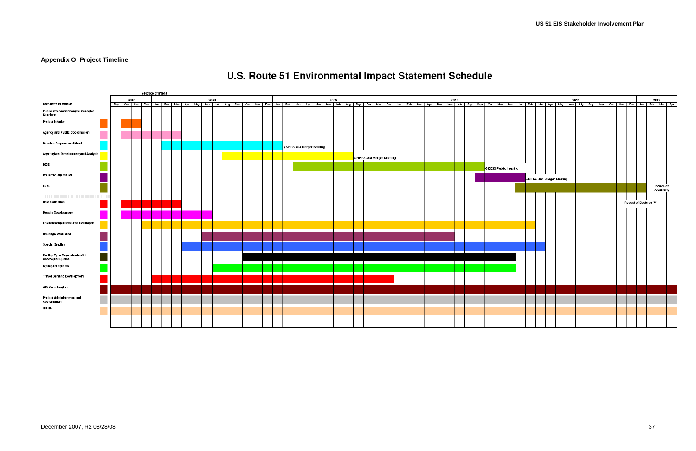### <span id="page-39-0"></span>**Appendix O: Project Timeline**



## U.S. Route 51 Environmental Impact Statement Schedule